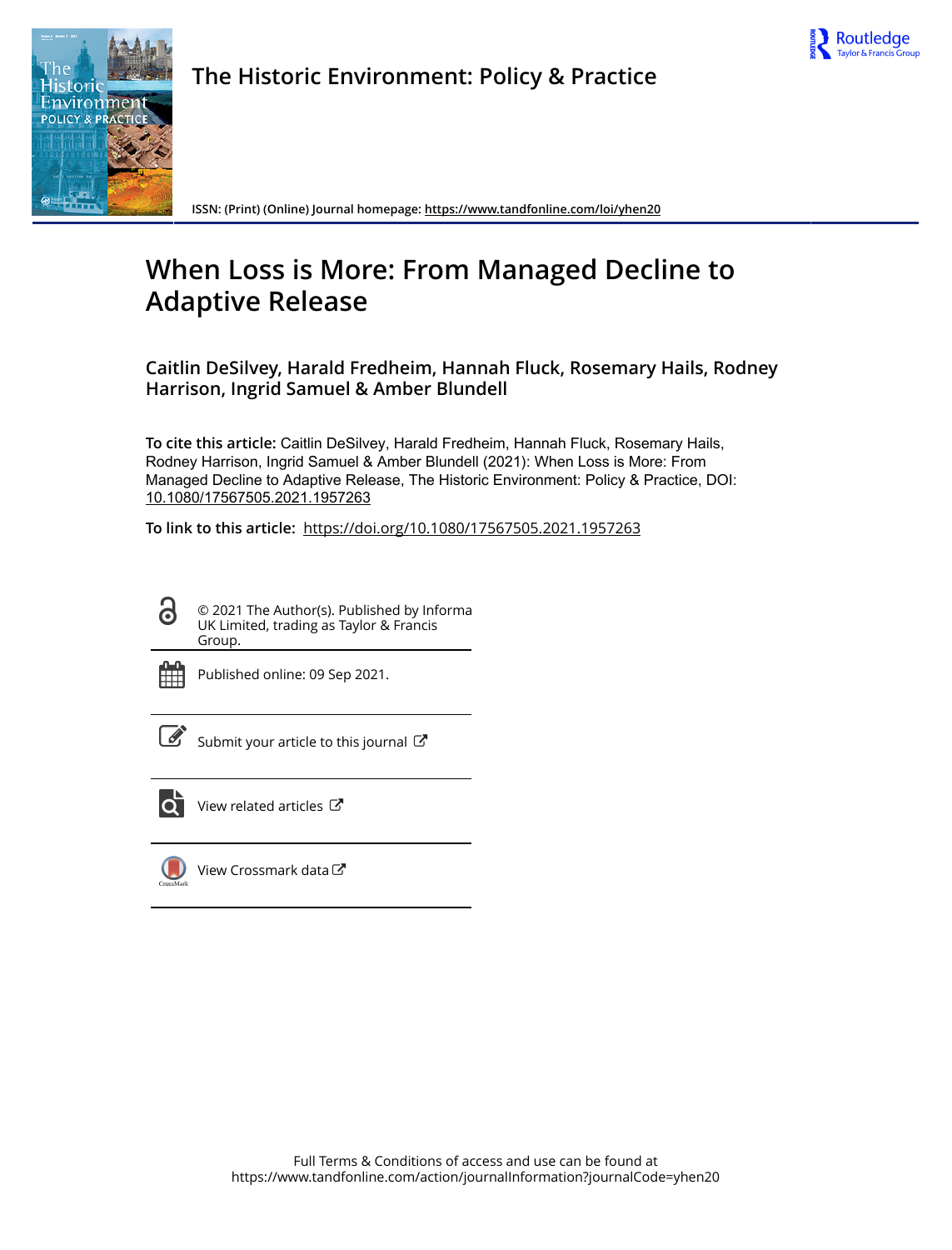



**The Historic Environment: Policy & Practice**

**ISSN: (Print) (Online) Journal homepage:<https://www.tandfonline.com/loi/yhen20>**

# **When Loss is More: From Managed Decline to Adaptive Release**

**Caitlin DeSilvey, Harald Fredheim, Hannah Fluck, Rosemary Hails, Rodney Harrison, Ingrid Samuel & Amber Blundell**

**To cite this article:** Caitlin DeSilvey, Harald Fredheim, Hannah Fluck, Rosemary Hails, Rodney Harrison, Ingrid Samuel & Amber Blundell (2021): When Loss is More: From Managed Decline to Adaptive Release, The Historic Environment: Policy & Practice, DOI: [10.1080/17567505.2021.1957263](https://www.tandfonline.com/action/showCitFormats?doi=10.1080/17567505.2021.1957263)

**To link to this article:** <https://doi.org/10.1080/17567505.2021.1957263>

© 2021 The Author(s). Published by Informa UK Limited, trading as Taylor & Francis Group.



ര

Published online: 09 Sep 2021.

 $\overrightarrow{S}$  [Submit your article to this journal](https://www.tandfonline.com/action/authorSubmission?journalCode=yhen20&show=instructions)  $\overrightarrow{S}$ 



[View related articles](https://www.tandfonline.com/doi/mlt/10.1080/17567505.2021.1957263) C



[View Crossmark data](http://crossmark.crossref.org/dialog/?doi=10.1080/17567505.2021.1957263&domain=pdf&date_stamp=2021-09-09)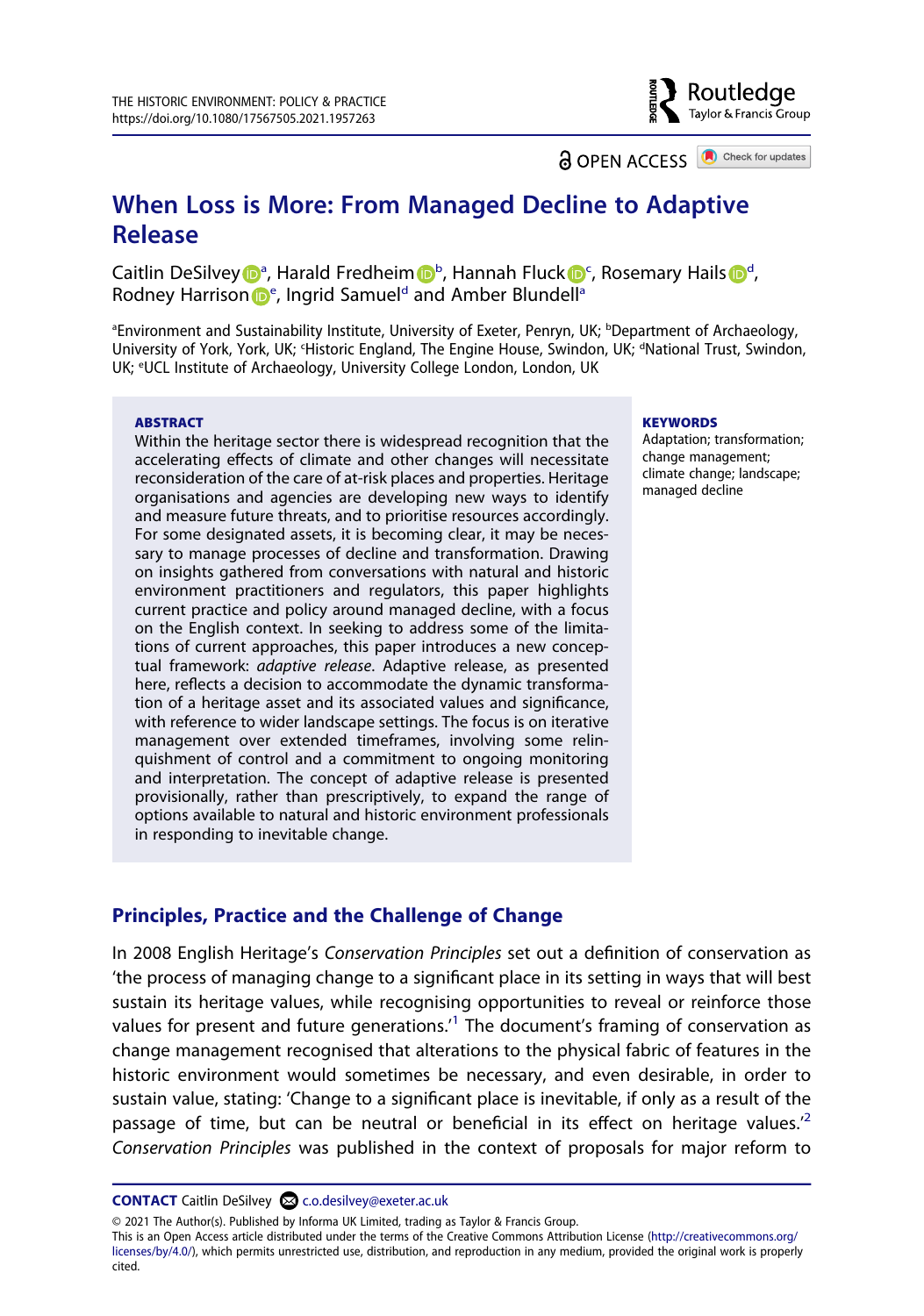**a** OPEN ACCESS **a** Check for updates

Routledge Taylor & Francis Group

## **When Loss is More: From Managed Decline to Adaptive Release**

Caitlin DeSilve[y](http://orcid.org/0000-0003-1629-8414) D<sup>[a](#page-1-0)</sup>, Harald Fredheim D<sup>[b](#page-1-0)</sup>, Hannah Flu[c](#page-1-1)k D<[s](http://orcid.org/0000-0002-6975-1318)up>c</sup>, Rosemary Hails D<sup>[d](#page-1-1)</sup>, Rod[n](http://orcid.org/0000-0002-5030-0525)[e](#page-1-2)y H[a](#page-1-0)rrison D<sup>e</sup>, Ingrid Samuel<sup>d</sup> and Amber Blundell<sup>a</sup>

<span id="page-1-2"></span><span id="page-1-1"></span><span id="page-1-0"></span><sup>a</sup>Environment and Sustainability Institute, University of Exeter, Penryn, UK; <sup>b</sup>Department of Archaeology, University of York, York, UK; 'Historic England, The Engine House, Swindon, UK; <sup>a</sup>National Trust, Swindon, UK; <sup>e</sup>UCL Institute of Archaeology, University College London, London, UK

#### **ABSTRACT**

Within the heritage sector there is widespread recognition that the accelerating effects of climate and other changes will necessitate reconsideration of the care of at-risk places and properties. Heritage organisations and agencies are developing new ways to identify and measure future threats, and to prioritise resources accordingly. For some designated assets, it is becoming clear, it may be necessary to manage processes of decline and transformation. Drawing on insights gathered from conversations with natural and historic environment practitioners and regulators, this paper highlights current practice and policy around managed decline, with a focus on the English context. In seeking to address some of the limitations of current approaches, this paper introduces a new conceptual framework: *adaptive release*. Adaptive release, as presented here, reflects a decision to accommodate the dynamic transformation of a heritage asset and its associated values and significance, with reference to wider landscape settings. The focus is on iterative management over extended timeframes, involving some relinquishment of control and a commitment to ongoing monitoring and interpretation. The concept of adaptive release is presented provisionally, rather than prescriptively, to expand the range of options available to natural and historic environment professionals in responding to inevitable change.

#### **KEYWORDS**

Adaptation; transformation; change management; climate change; landscape; managed decline

#### **Principles, Practice and the Challenge of Change**

In 2008 English Heritage's *Conservation Principles* set out a definition of conservation as 'the process of managing change to a significant place in its setting in ways that will best sustain its heritage values, while recognising opportunities to reveal or reinforce those values for present and future generations.<sup>1</sup> The document's framing of conservation as change management recognised that alterations to the physical fabric of features in the historic environment would sometimes be necessary, and even desirable, in order to sustain value, stating: 'Change to a significant place is inevitable, if only as a result of the passage of time, but can be neutral or beneficial in its effect on heritage values.<sup>[2](#page-8-1)</sup> *Conservation Principles* was published in the context of proposals for major reform to

**CONTACT** Caitlin DeSilvey **c.o.desilvey@exeter.ac.uk** 

© 2021 The Author(s). Published by Informa UK Limited, trading as Taylor & Francis Group.

This is an Open Access article distributed under the terms of the Creative Commons Attribution License (http://creativecommons.org/ licenses/by/4.0/), which permits unrestricted use, distribution, and reproduction in any medium, provided the original work is properly cited.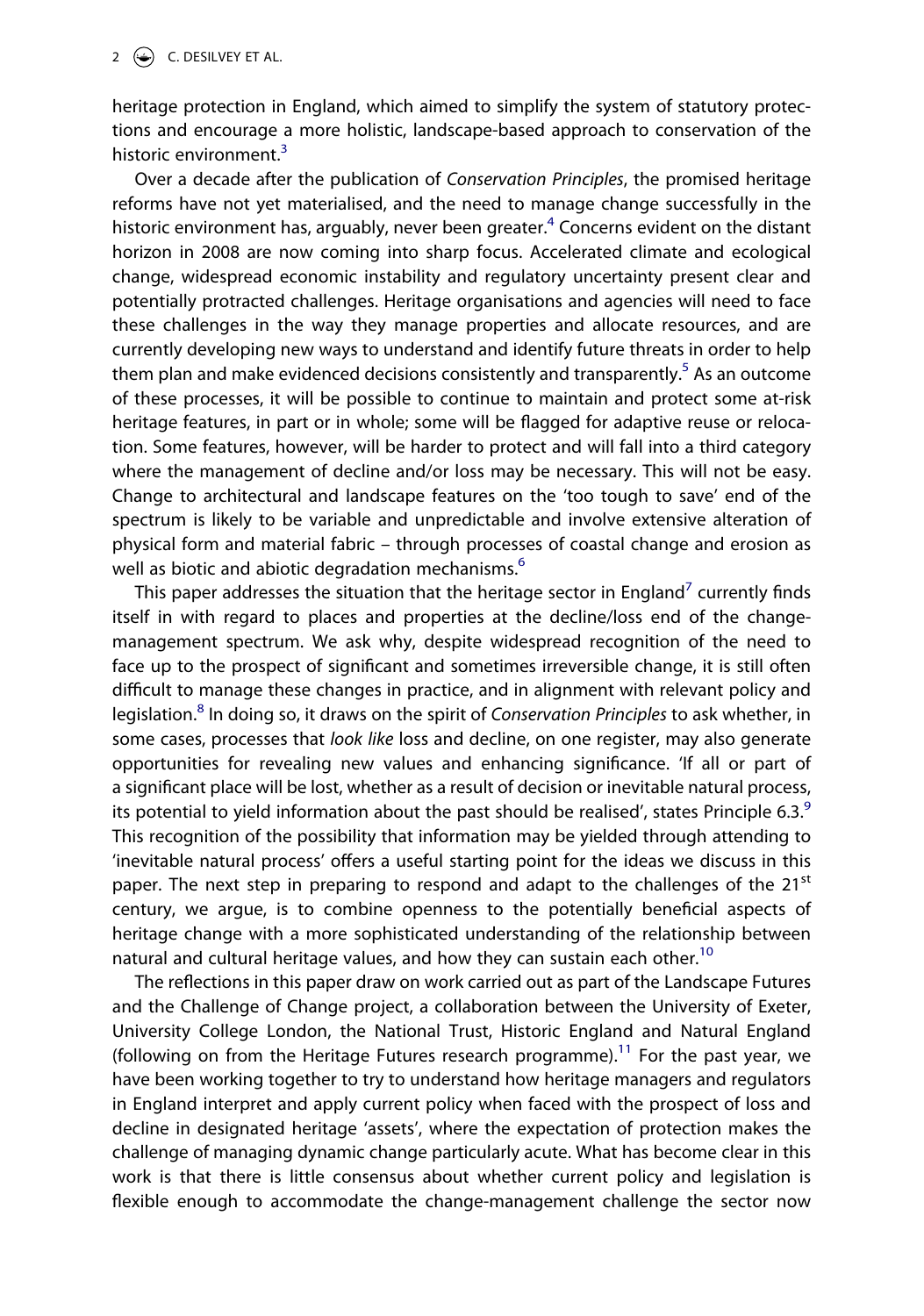heritage protection in England, which aimed to simplify the system of statutory protections and encourage a more holistic, landscape-based approach to conservation of the historic environment.<sup>[3](#page-8-2)</sup>

Over a decade after the publication of *Conservation Principles*, the promised heritage reforms have not yet materialised, and the need to manage change successfully in the historic environment has, arguably, never been greater.<sup>4</sup> Concerns evident on the distant horizon in 2008 are now coming into sharp focus. Accelerated climate and ecological change, widespread economic instability and regulatory uncertainty present clear and potentially protracted challenges. Heritage organisations and agencies will need to face these challenges in the way they manage properties and allocate resources, and are currently developing new ways to understand and identify future threats in order to help them plan and make evidenced decisions consistently and transparently.<sup>[5](#page-8-4)</sup> As an outcome of these processes, it will be possible to continue to maintain and protect some at-risk heritage features, in part or in whole; some will be flagged for adaptive reuse or relocation. Some features, however, will be harder to protect and will fall into a third category where the management of decline and/or loss may be necessary. This will not be easy. Change to architectural and landscape features on the 'too tough to save' end of the spectrum is likely to be variable and unpredictable and involve extensive alteration of physical form and material fabric – through processes of coastal change and erosion as well as biotic and abiotic degradation mechanisms.<sup>[6](#page-8-5)</sup>

This paper addresses the situation that the heritage sector in England<sup>7</sup> currently finds itself in with regard to places and properties at the decline/loss end of the changemanagement spectrum. We ask why, despite widespread recognition of the need to face up to the prospect of significant and sometimes irreversible change, it is still often difficult to manage these changes in practice, and in alignment with relevant policy and legislation.[8](#page-8-7) In doing so, it draws on the spirit of *Conservation Principles* to ask whether, in some cases, processes that *look like* loss and decline, on one register, may also generate opportunities for revealing new values and enhancing significance. 'If all or part of a significant place will be lost, whether as a result of decision or inevitable natural process, its potential to yield information about the past should be realised', states Principle 6.3. $9$ This recognition of the possibility that information may be yielded through attending to 'inevitable natural process' offers a useful starting point for the ideas we discuss in this paper. The next step in preparing to respond and adapt to the challenges of the  $21<sup>st</sup>$ century, we argue, is to combine openness to the potentially beneficial aspects of heritage change with a more sophisticated understanding of the relationship between natural and cultural heritage values, and how they can sustain each other.<sup>[10](#page-8-9)</sup>

The reflections in this paper draw on work carried out as part of the Landscape Futures and the Challenge of Change project, a collaboration between the University of Exeter, University College London, the National Trust, Historic England and Natural England (following on from the Heritage Futures research programme).<sup>11</sup> For the past year, we have been working together to try to understand how heritage managers and regulators in England interpret and apply current policy when faced with the prospect of loss and decline in designated heritage 'assets', where the expectation of protection makes the challenge of managing dynamic change particularly acute. What has become clear in this work is that there is little consensus about whether current policy and legislation is flexible enough to accommodate the change-management challenge the sector now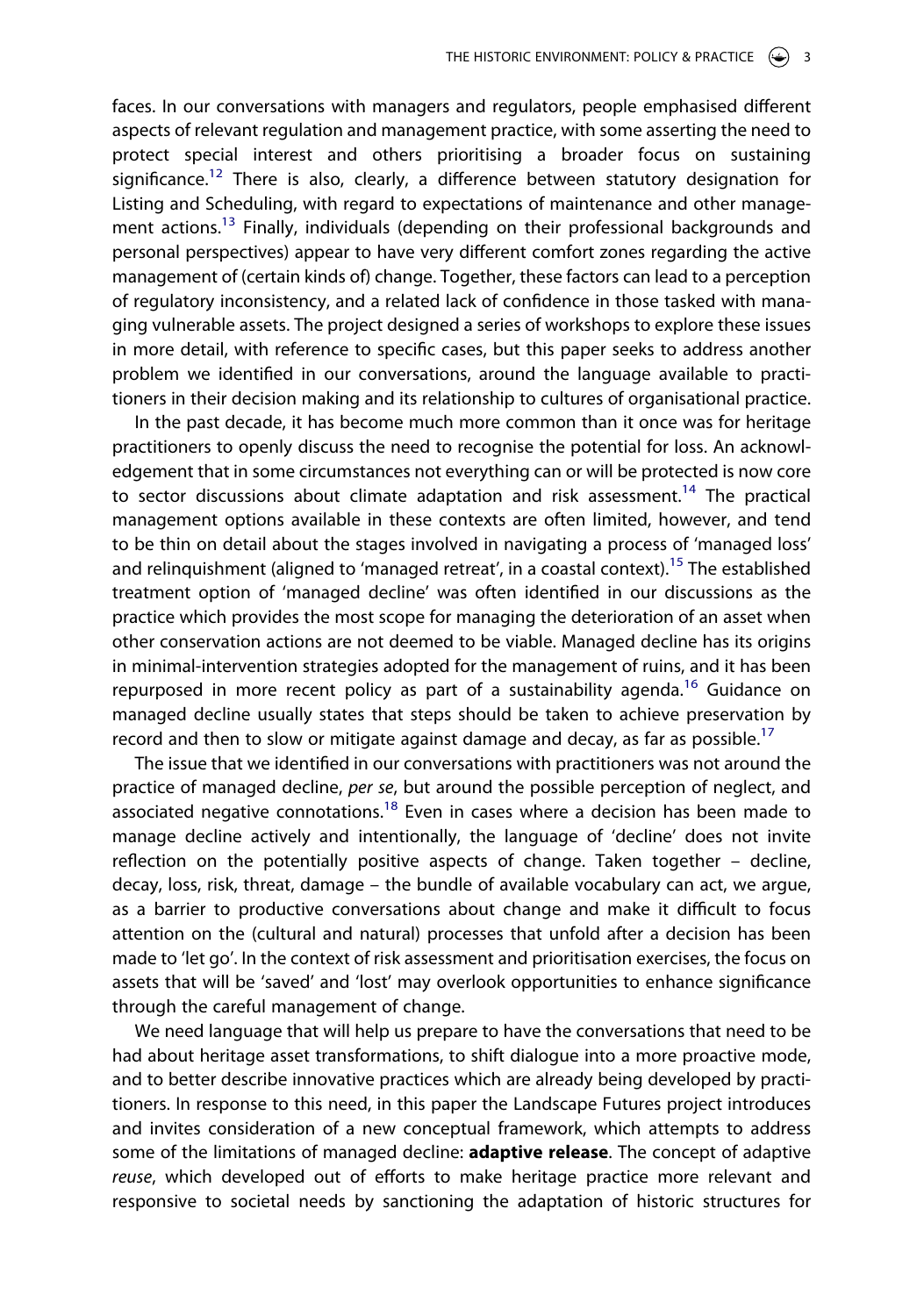faces. In our conversations with managers and regulators, people emphasised different aspects of relevant regulation and management practice, with some asserting the need to protect special interest and others prioritising a broader focus on sustaining significance.<sup>12</sup> There is also, clearly, a difference between statutory designation for Listing and Scheduling, with regard to expectations of maintenance and other management actions.<sup>13</sup> Finally, individuals (depending on their professional backgrounds and personal perspectives) appear to have very different comfort zones regarding the active management of (certain kinds of) change. Together, these factors can lead to a perception of regulatory inconsistency, and a related lack of confidence in those tasked with managing vulnerable assets. The project designed a series of workshops to explore these issues in more detail, with reference to specific cases, but this paper seeks to address another problem we identified in our conversations, around the language available to practitioners in their decision making and its relationship to cultures of organisational practice.

In the past decade, it has become much more common than it once was for heritage practitioners to openly discuss the need to recognise the potential for loss. An acknowledgement that in some circumstances not everything can or will be protected is now core to sector discussions about climate adaptation and risk assessment.<sup>14</sup> The practical management options available in these contexts are often limited, however, and tend to be thin on detail about the stages involved in navigating a process of 'managed loss' and relinquishment (aligned to 'managed retreat', in a coastal context).<sup>15</sup> The established treatment option of 'managed decline' was often identified in our discussions as the practice which provides the most scope for managing the deterioration of an asset when other conservation actions are not deemed to be viable. Managed decline has its origins in minimal-intervention strategies adopted for the management of ruins, and it has been repurposed in more recent policy as part of a sustainability agenda.<sup>16</sup> Guidance on managed decline usually states that steps should be taken to achieve preservation by record and then to slow or mitigate against damage and decay, as far as possible.<sup>17</sup>

The issue that we identified in our conversations with practitioners was not around the practice of managed decline, *per se*, but around the possible perception of neglect, and associated negative connotations.[18](#page-9-6) Even in cases where a decision has been made to manage decline actively and intentionally, the language of 'decline' does not invite reflection on the potentially positive aspects of change. Taken together – decline, decay, loss, risk, threat, damage – the bundle of available vocabulary can act, we argue, as a barrier to productive conversations about change and make it difficult to focus attention on the (cultural and natural) processes that unfold after a decision has been made to 'let go'. In the context of risk assessment and prioritisation exercises, the focus on assets that will be 'saved' and 'lost' may overlook opportunities to enhance significance through the careful management of change.

We need language that will help us prepare to have the conversations that need to be had about heritage asset transformations, to shift dialogue into a more proactive mode, and to better describe innovative practices which are already being developed by practitioners. In response to this need, in this paper the Landscape Futures project introduces and invites consideration of a new conceptual framework, which attempts to address some of the limitations of managed decline: **adaptive release**. The concept of adaptive *reuse*, which developed out of efforts to make heritage practice more relevant and responsive to societal needs by sanctioning the adaptation of historic structures for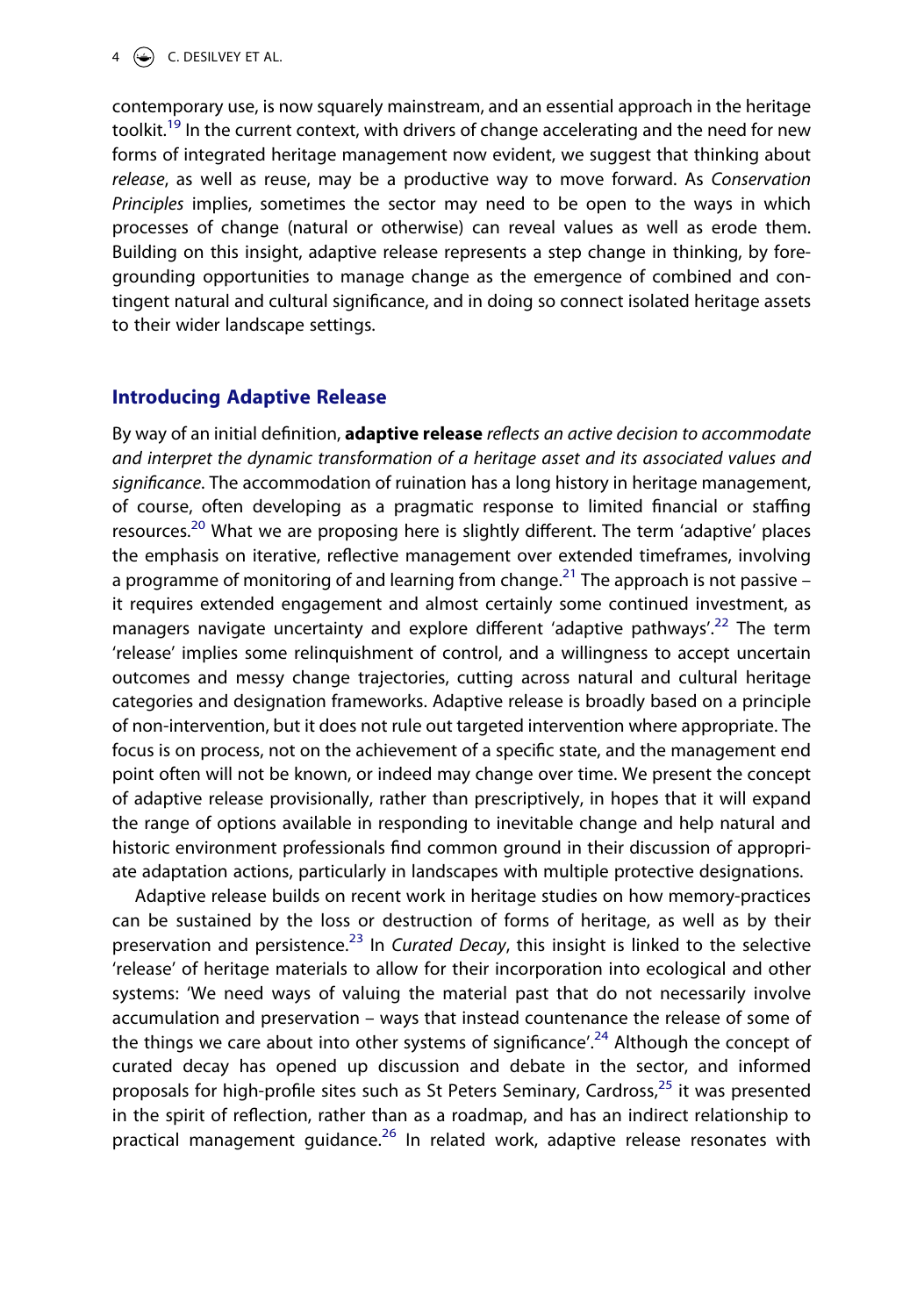contemporary use, is now squarely mainstream, and an essential approach in the heritage toolkit.<sup>19</sup> In the current context, with drivers of change accelerating and the need for new forms of integrated heritage management now evident, we suggest that thinking about *release*, as well as reuse, may be a productive way to move forward. As *Conservation Principles* implies, sometimes the sector may need to be open to the ways in which processes of change (natural or otherwise) can reveal values as well as erode them. Building on this insight, adaptive release represents a step change in thinking, by foregrounding opportunities to manage change as the emergence of combined and contingent natural and cultural significance, and in doing so connect isolated heritage assets to their wider landscape settings.

## **Introducing Adaptive Release**

By way of an initial definition, **adaptive release** *reflects an active decision to accommodate and interpret the dynamic transformation of a heritage asset and its associated values and significance*. The accommodation of ruination has a long history in heritage management, of course, often developing as a pragmatic response to limited financial or staffing resources.<sup>20</sup> What we are proposing here is slightly different. The term 'adaptive' places the emphasis on iterative, reflective management over extended timeframes, involving a programme of monitoring of and learning from change.<sup>21</sup> The approach is not passive – it requires extended engagement and almost certainly some continued investment, as managers navigate uncertainty and explore different 'adaptive pathways'.<sup>[22](#page-9-10)</sup> The term 'release' implies some relinquishment of control, and a willingness to accept uncertain outcomes and messy change trajectories, cutting across natural and cultural heritage categories and designation frameworks. Adaptive release is broadly based on a principle of non-intervention, but it does not rule out targeted intervention where appropriate. The focus is on process, not on the achievement of a specific state, and the management end point often will not be known, or indeed may change over time. We present the concept of adaptive release provisionally, rather than prescriptively, in hopes that it will expand the range of options available in responding to inevitable change and help natural and historic environment professionals find common ground in their discussion of appropriate adaptation actions, particularly in landscapes with multiple protective designations.

Adaptive release builds on recent work in heritage studies on how memory-practices can be sustained by the loss or destruction of forms of heritage, as well as by their preservation and persistence.<sup>[23](#page-9-11)</sup> In *Curated Decay*, this insight is linked to the selective 'release' of heritage materials to allow for their incorporation into ecological and other systems: 'We need ways of valuing the material past that do not necessarily involve accumulation and preservation – ways that instead countenance the release of some of the things we care about into other systems of significance'.<sup>[24](#page-9-12)</sup> Although the concept of curated decay has opened up discussion and debate in the sector, and informed proposals for high-profile sites such as St Peters Seminary, Cardross,<sup>[25](#page-9-13)</sup> it was presented in the spirit of reflection, rather than as a roadmap, and has an indirect relationship to practical management quidance.<sup>26</sup> In related work, adaptive release resonates with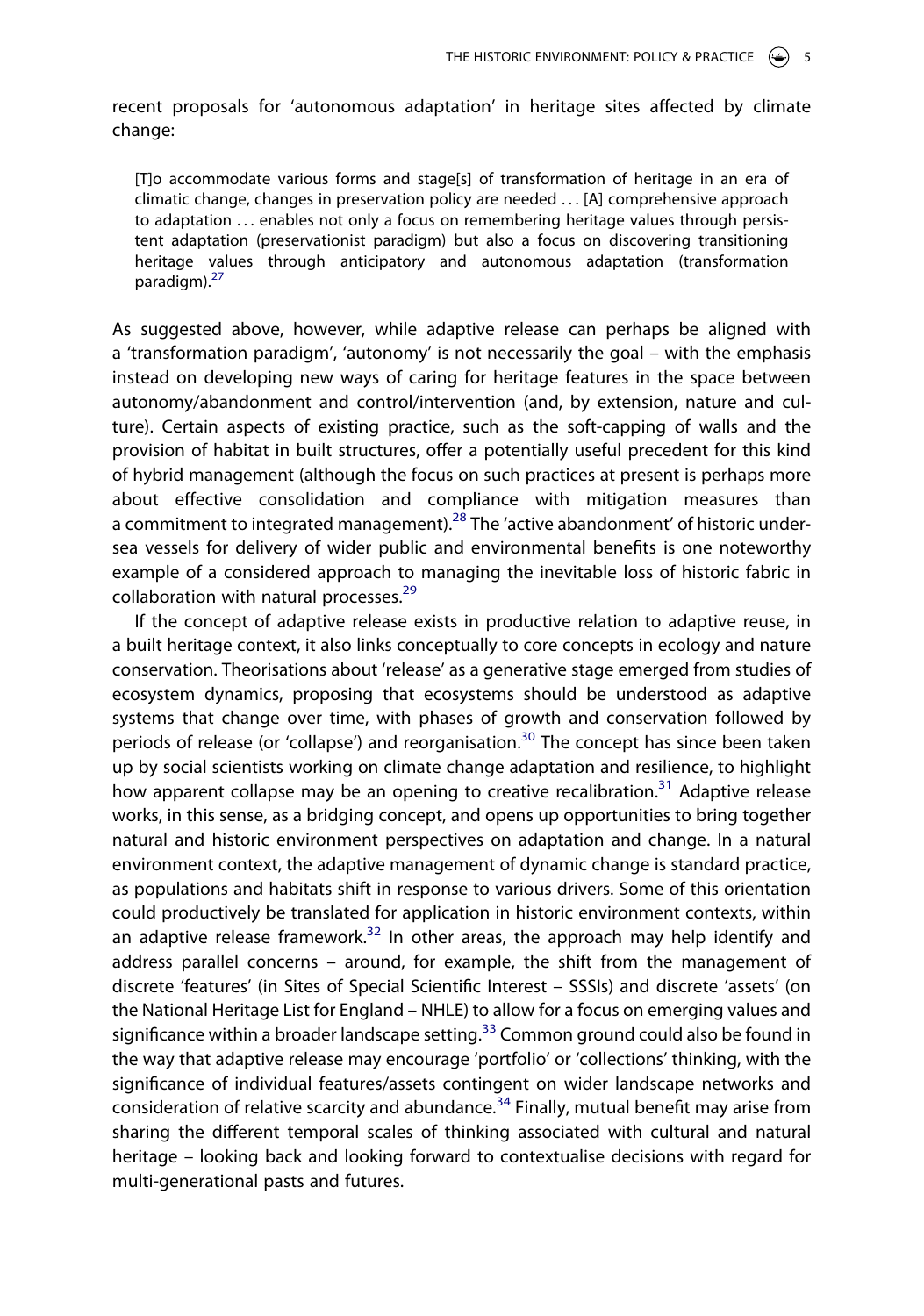recent proposals for 'autonomous adaptation' in heritage sites affected by climate change:

[T]o accommodate various forms and stage[s] of transformation of heritage in an era of climatic change, changes in preservation policy are needed . . . [A] comprehensive approach to adaptation ... enables not only a focus on remembering heritage values through persistent adaptation (preservationist paradigm) but also a focus on discovering transitioning heritage values through anticipatory and autonomous adaptation (transformation paradigm).<sup>[27](#page-9-15)</sup>

As suggested above, however, while adaptive release can perhaps be aligned with a 'transformation paradigm', 'autonomy' is not necessarily the goal – with the emphasis instead on developing new ways of caring for heritage features in the space between autonomy/abandonment and control/intervention (and, by extension, nature and culture). Certain aspects of existing practice, such as the soft-capping of walls and the provision of habitat in built structures, offer a potentially useful precedent for this kind of hybrid management (although the focus on such practices at present is perhaps more about effective consolidation and compliance with mitigation measures than a commitment to integrated management).<sup>[28](#page-9-16)</sup> The 'active abandonment' of historic undersea vessels for delivery of wider public and environmental benefits is one noteworthy example of a considered approach to managing the inevitable loss of historic fabric in collaboration with natural processes.<sup>[29](#page-9-17)</sup>

If the concept of adaptive release exists in productive relation to adaptive reuse, in a built heritage context, it also links conceptually to core concepts in ecology and nature conservation. Theorisations about 'release' as a generative stage emerged from studies of ecosystem dynamics, proposing that ecosystems should be understood as adaptive systems that change over time, with phases of growth and conservation followed by periods of release (or 'collapse') and reorganisation.<sup>30</sup> The concept has since been taken up by social scientists working on climate change adaptation and resilience, to highlight how apparent collapse may be an opening to creative recalibration.<sup>[31](#page-9-19)</sup> Adaptive release works, in this sense, as a bridging concept, and opens up opportunities to bring together natural and historic environment perspectives on adaptation and change. In a natural environment context, the adaptive management of dynamic change is standard practice, as populations and habitats shift in response to various drivers. Some of this orientation could productively be translated for application in historic environment contexts, within an adaptive release framework.<sup>32</sup> In other areas, the approach may help identify and address parallel concerns – around, for example, the shift from the management of discrete 'features' (in Sites of Special Scientific Interest – SSSIs) and discrete 'assets' (on the National Heritage List for England – NHLE) to allow for a focus on emerging values and significance within a broader landscape setting. $33$  Common ground could also be found in the way that adaptive release may encourage 'portfolio' or 'collections' thinking, with the significance of individual features/assets contingent on wider landscape networks and consideration of relative scarcity and abundance.<sup>34</sup> Finally, mutual benefit may arise from sharing the different temporal scales of thinking associated with cultural and natural heritage – looking back and looking forward to contextualise decisions with regard for multi-generational pasts and futures.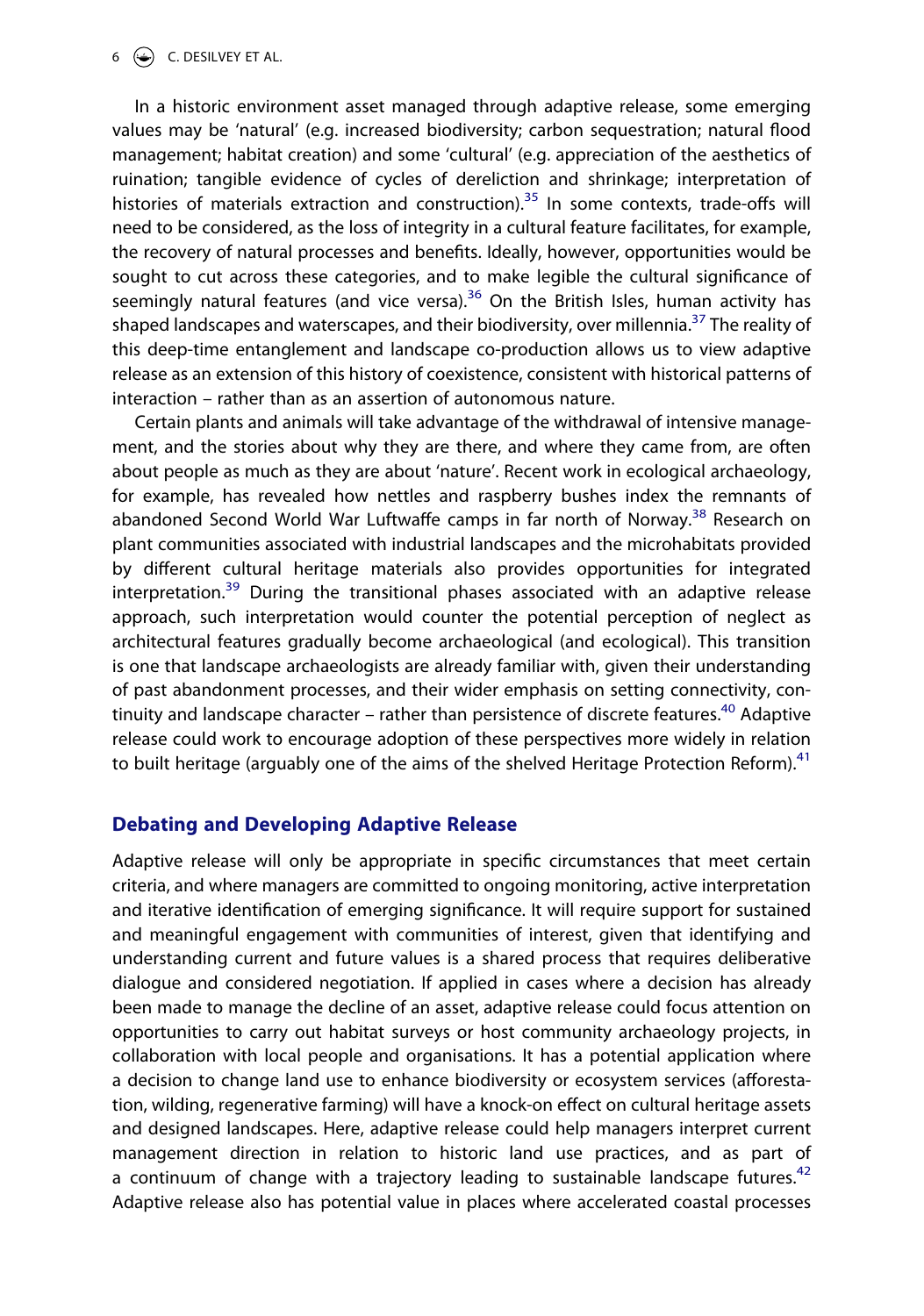#### 6  $\left(\bigcirc\right)$  C. DESILVEY ET AL.

In a historic environment asset managed through adaptive release, some emerging values may be 'natural' (e.g. increased biodiversity; carbon sequestration; natural flood management; habitat creation) and some 'cultural' (e.g. appreciation of the aesthetics of ruination; tangible evidence of cycles of dereliction and shrinkage; interpretation of histories of materials extraction and construction).<sup>35</sup> In some contexts, trade-offs will need to be considered, as the loss of integrity in a cultural feature facilitates, for example, the recovery of natural processes and benefits. Ideally, however, opportunities would be sought to cut across these categories, and to make legible the cultural significance of seemingly natural features (and vice versa).<sup>[36](#page-10-1)</sup> On the British Isles, human activity has shaped landscapes and waterscapes, and their biodiversity, over millennia.<sup>[37](#page-10-2)</sup> The reality of this deep-time entanglement and landscape co-production allows us to view adaptive release as an extension of this history of coexistence, consistent with historical patterns of interaction – rather than as an assertion of autonomous nature.

Certain plants and animals will take advantage of the withdrawal of intensive management, and the stories about why they are there, and where they came from, are often about people as much as they are about 'nature'. Recent work in ecological archaeology, for example, has revealed how nettles and raspberry bushes index the remnants of abandoned Second World War Luftwaffe camps in far north of Norway.<sup>[38](#page-10-3)</sup> Research on plant communities associated with industrial landscapes and the microhabitats provided by different cultural heritage materials also provides opportunities for integrated interpretation.<sup>[39](#page-10-4)</sup> During the transitional phases associated with an adaptive release approach, such interpretation would counter the potential perception of neglect as architectural features gradually become archaeological (and ecological). This transition is one that landscape archaeologists are already familiar with, given their understanding of past abandonment processes, and their wider emphasis on setting connectivity, continuity and landscape character – rather than persistence of discrete features.<sup>40</sup> Adaptive release could work to encourage adoption of these perspectives more widely in relation to built heritage (arguably one of the aims of the shelved Heritage Protection Reform).<sup>41</sup>

#### **Debating and Developing Adaptive Release**

Adaptive release will only be appropriate in specific circumstances that meet certain criteria, and where managers are committed to ongoing monitoring, active interpretation and iterative identification of emerging significance. It will require support for sustained and meaningful engagement with communities of interest, given that identifying and understanding current and future values is a shared process that requires deliberative dialogue and considered negotiation. If applied in cases where a decision has already been made to manage the decline of an asset, adaptive release could focus attention on opportunities to carry out habitat surveys or host community archaeology projects, in collaboration with local people and organisations. It has a potential application where a decision to change land use to enhance biodiversity or ecosystem services (afforestation, wilding, regenerative farming) will have a knock-on effect on cultural heritage assets and designed landscapes. Here, adaptive release could help managers interpret current management direction in relation to historic land use practices, and as part of a continuum of change with a trajectory leading to sustainable landscape futures.<sup>[42](#page-10-7)</sup> Adaptive release also has potential value in places where accelerated coastal processes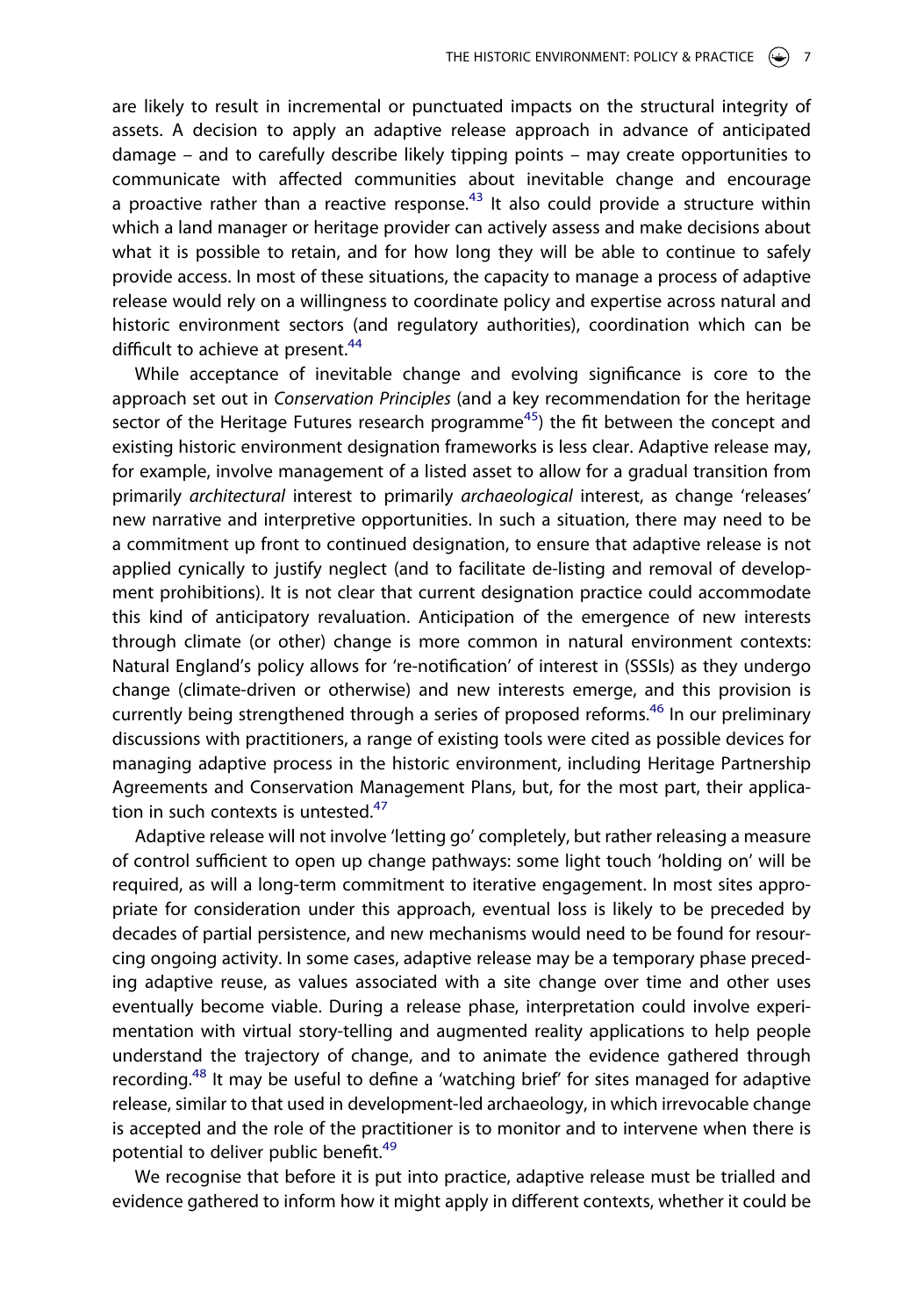are likely to result in incremental or punctuated impacts on the structural integrity of assets. A decision to apply an adaptive release approach in advance of anticipated damage – and to carefully describe likely tipping points – may create opportunities to communicate with affected communities about inevitable change and encourage a proactive rather than a reactive response.<sup>[43](#page-10-8)</sup> It also could provide a structure within which a land manager or heritage provider can actively assess and make decisions about what it is possible to retain, and for how long they will be able to continue to safely provide access. In most of these situations, the capacity to manage a process of adaptive release would rely on a willingness to coordinate policy and expertise across natural and historic environment sectors (and regulatory authorities), coordination which can be difficult to achieve at present.<sup>[44](#page-10-9)</sup>

While acceptance of inevitable change and evolving significance is core to the approach set out in *Conservation Principles* (and a key recommendation for the heritage sector of the Heritage Futures research programme<sup>45</sup>) the fit between the concept and existing historic environment designation frameworks is less clear. Adaptive release may, for example, involve management of a listed asset to allow for a gradual transition from primarily *architectural* interest to primarily *archaeological* interest, as change 'releases' new narrative and interpretive opportunities. In such a situation, there may need to be a commitment up front to continued designation, to ensure that adaptive release is not applied cynically to justify neglect (and to facilitate de-listing and removal of development prohibitions). It is not clear that current designation practice could accommodate this kind of anticipatory revaluation. Anticipation of the emergence of new interests through climate (or other) change is more common in natural environment contexts: Natural England's policy allows for 're-notification' of interest in (SSSIs) as they undergo change (climate-driven or otherwise) and new interests emerge, and this provision is currently being strengthened through a series of proposed reforms.<sup>46</sup> In our preliminary discussions with practitioners, a range of existing tools were cited as possible devices for managing adaptive process in the historic environment, including Heritage Partnership Agreements and Conservation Management Plans, but, for the most part, their application in such contexts is untested. $47$ 

Adaptive release will not involve 'letting go' completely, but rather releasing a measure of control sufficient to open up change pathways: some light touch 'holding on' will be required, as will a long-term commitment to iterative engagement. In most sites appropriate for consideration under this approach, eventual loss is likely to be preceded by decades of partial persistence, and new mechanisms would need to be found for resourcing ongoing activity. In some cases, adaptive release may be a temporary phase preceding adaptive reuse, as values associated with a site change over time and other uses eventually become viable. During a release phase, interpretation could involve experimentation with virtual story-telling and augmented reality applications to help people understand the trajectory of change, and to animate the evidence gathered through recording.<sup>[48](#page-10-13)</sup> It may be useful to define a 'watching brief' for sites managed for adaptive release, similar to that used in development-led archaeology, in which irrevocable change is accepted and the role of the practitioner is to monitor and to intervene when there is potential to deliver public benefit.<sup>49</sup>

We recognise that before it is put into practice, adaptive release must be trialled and evidence gathered to inform how it might apply in different contexts, whether it could be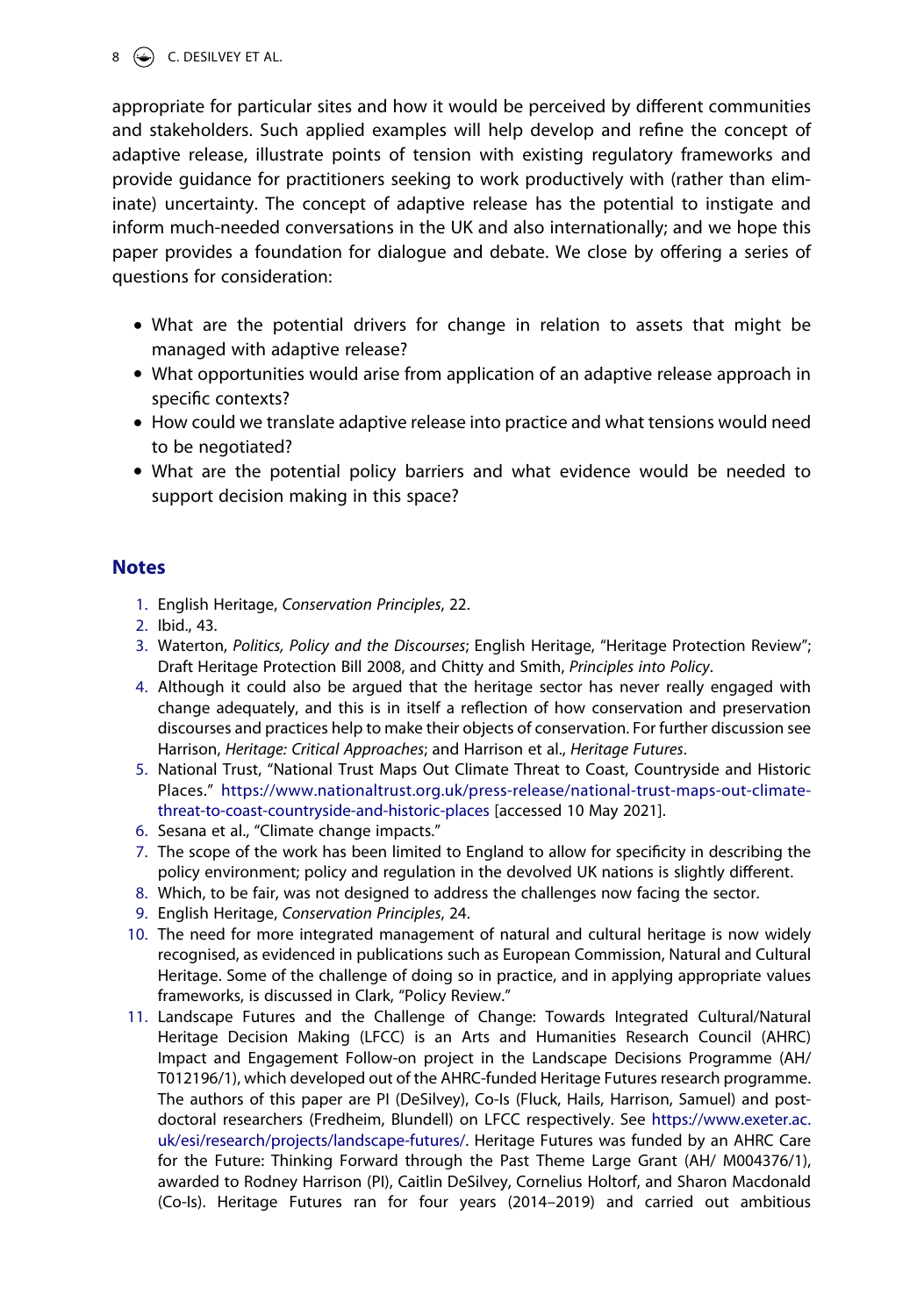#### 8  $\left(\rightarrow\right)$  C. DESILVEY ET AL.

appropriate for particular sites and how it would be perceived by different communities and stakeholders. Such applied examples will help develop and refine the concept of adaptive release, illustrate points of tension with existing regulatory frameworks and provide guidance for practitioners seeking to work productively with (rather than eliminate) uncertainty. The concept of adaptive release has the potential to instigate and inform much-needed conversations in the UK and also internationally; and we hope this paper provides a foundation for dialogue and debate. We close by offering a series of questions for consideration:

- What are the potential drivers for change in relation to assets that might be managed with adaptive release?
- What opportunities would arise from application of an adaptive release approach in specific contexts?
- How could we translate adaptive release into practice and what tensions would need to be negotiated?
- What are the potential policy barriers and what evidence would be needed to support decision making in this space?

### **Notes**

- <span id="page-8-0"></span>1. English Heritage, *Conservation Principles*, 22.
- <span id="page-8-1"></span>2. Ibid., 43.
- <span id="page-8-2"></span>3. Waterton, *Politics, Policy and the Discourses*; English Heritage, "Heritage Protection Review"; Draft Heritage Protection Bill 2008, and Chitty and Smith, *Principles into Policy*.
- <span id="page-8-3"></span>4. Although it could also be argued that the heritage sector has never really engaged with change adequately, and this is in itself a reflection of how conservation and preservation discourses and practices help to make their objects of conservation. For further discussion see Harrison, *Heritage: Critical Approaches*; and Harrison et al., *Heritage Futures*.
- <span id="page-8-4"></span>5. National Trust, "National Trust Maps Out Climate Threat to Coast, Countryside and Historic Places." [https://www.nationaltrust.org.uk/press-release/national-trust-maps-out-climate](https://www.nationaltrust.org.uk/press-release/national-trust-maps-out-climate-threat-to-coast-countryside-and-historic-places)[threat-to-coast-countryside-and-historic-places](https://www.nationaltrust.org.uk/press-release/national-trust-maps-out-climate-threat-to-coast-countryside-and-historic-places) [accessed 10 May 2021].
- <span id="page-8-5"></span>6. Sesana et al., "Climate change impacts."
- <span id="page-8-6"></span>7. The scope of the work has been limited to England to allow for specificity in describing the policy environment; policy and regulation in the devolved UK nations is slightly different.
- <span id="page-8-7"></span>8. Which, to be fair, was not designed to address the challenges now facing the sector.
- <span id="page-8-8"></span>9. English Heritage, *Conservation Principles*, 24.
- <span id="page-8-9"></span>10. The need for more integrated management of natural and cultural heritage is now widely recognised, as evidenced in publications such as European Commission, Natural and Cultural Heritage. Some of the challenge of doing so in practice, and in applying appropriate values frameworks, is discussed in Clark, "Policy Review."
- <span id="page-8-10"></span>11. Landscape Futures and the Challenge of Change: Towards Integrated Cultural/Natural Heritage Decision Making (LFCC) is an Arts and Humanities Research Council (AHRC) Impact and Engagement Follow-on project in the Landscape Decisions Programme (AH/ T012196/1), which developed out of the AHRC-funded Heritage Futures research programme. The authors of this paper are PI (DeSilvey), Co-Is (Fluck, Hails, Harrison, Samuel) and postdoctoral researchers (Fredheim, Blundell) on LFCC respectively. See [https://www.exeter.ac.](https://www.exeter.ac.uk/esi/research/projects/landscape-futures/) [uk/esi/research/projects/landscape-futures/.](https://www.exeter.ac.uk/esi/research/projects/landscape-futures/) Heritage Futures was funded by an AHRC Care for the Future: Thinking Forward through the Past Theme Large Grant (AH/ M004376/1), awarded to Rodney Harrison (PI), Caitlin DeSilvey, Cornelius Holtorf, and Sharon Macdonald (Co-Is). Heritage Futures ran for four years (2014–2019) and carried out ambitious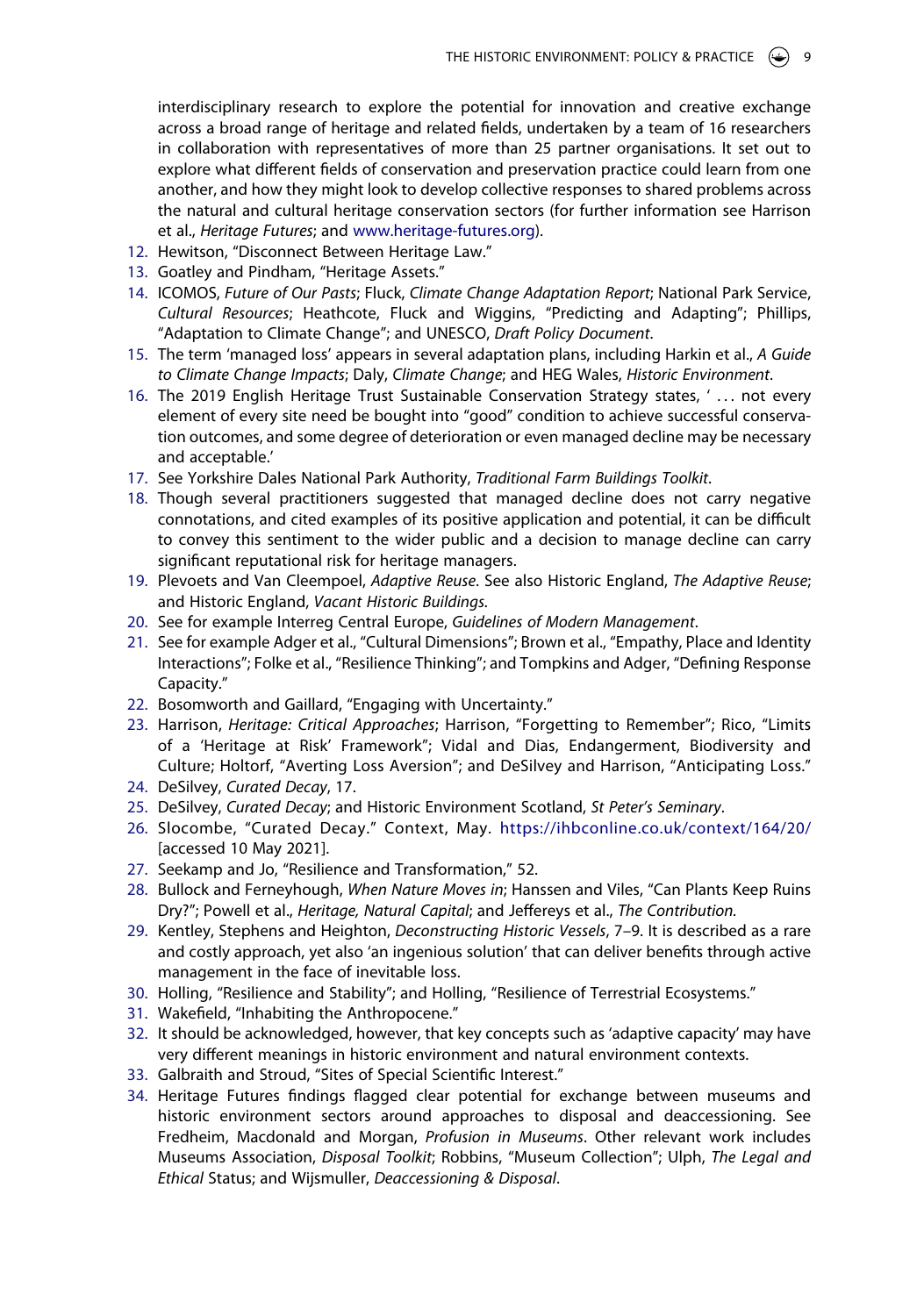interdisciplinary research to explore the potential for innovation and creative exchange across a broad range of heritage and related fields, undertaken by a team of 16 researchers in collaboration with representatives of more than 25 partner organisations. It set out to explore what different fields of conservation and preservation practice could learn from one another, and how they might look to develop collective responses to shared problems across the natural and cultural heritage conservation sectors (for further information see Harrison et al., *Heritage Futures*; and [www.heritage-futures.org\)](http://www.heritage-futures.org).

- <span id="page-9-0"></span>12. Hewitson, "Disconnect Between Heritage Law."
- <span id="page-9-1"></span>13. Goatley and Pindham, "Heritage Assets."
- <span id="page-9-2"></span>14. ICOMOS, *Future of Our Pasts*; Fluck, *Climate Change Adaptation Report*; National Park Service, *Cultural Resources*; Heathcote, Fluck and Wiggins, "Predicting and Adapting"; Phillips, "Adaptation to Climate Change"; and UNESCO, *Draft Policy Document*.
- <span id="page-9-3"></span>15. The term 'managed loss' appears in several adaptation plans, including Harkin et al., *A Guide to Climate Change Impacts*; Daly, *Climate Change*; and HEG Wales, *Historic Environment*.
- <span id="page-9-4"></span>16. The 2019 English Heritage Trust Sustainable Conservation Strategy states, ' . . . not every element of every site need be bought into "good" condition to achieve successful conservation outcomes, and some degree of deterioration or even managed decline may be necessary and acceptable.'
- <span id="page-9-5"></span>17. See Yorkshire Dales National Park Authority, *Traditional Farm Buildings Toolkit*.
- <span id="page-9-6"></span>18. Though several practitioners suggested that managed decline does not carry negative connotations, and cited examples of its positive application and potential, it can be difficult to convey this sentiment to the wider public and a decision to manage decline can carry significant reputational risk for heritage managers.
- <span id="page-9-7"></span>19. Plevoets and Van Cleempoel, *Adaptive Reuse*. See also Historic England, *The Adaptive Reuse*; and Historic England, *Vacant Historic Buildings.*
- <span id="page-9-8"></span>20. See for example Interreg Central Europe, *Guidelines of Modern Management*.
- <span id="page-9-9"></span>21. See for example Adger et al., "Cultural Dimensions"; Brown et al., "Empathy, Place and Identity Interactions"; Folke et al., "Resilience Thinking"; and Tompkins and Adger, "Defining Response Capacity."
- <span id="page-9-10"></span>22. Bosomworth and Gaillard, "Engaging with Uncertainty."
- <span id="page-9-11"></span>23. Harrison, *Heritage: Critical Approaches*; Harrison, "Forgetting to Remember"; Rico, "Limits of a 'Heritage at Risk' Framework"; Vidal and Dias, Endangerment, Biodiversity and Culture; Holtorf, "Averting Loss Aversion"; and DeSilvey and Harrison, "Anticipating Loss."
- <span id="page-9-12"></span>24. DeSilvey, *Curated Decay*, 17.
- <span id="page-9-13"></span>25. DeSilvey, *Curated Decay*; and Historic Environment Scotland, *St Peter's Seminary*.
- <span id="page-9-14"></span>26. Slocombe, "Curated Decay." Context, May. <https://ihbconline.co.uk/context/164/20/> [accessed 10 May 2021].
- <span id="page-9-15"></span>27. Seekamp and Jo, "Resilience and Transformation," 52.
- <span id="page-9-16"></span>28. Bullock and Ferneyhough, *When Nature Moves in*; Hanssen and Viles, "Can Plants Keep Ruins Dry?"; Powell et al., *Heritage, Natural Capital*; and Jeffereys et al., *The Contribution.*
- <span id="page-9-17"></span>29. Kentley, Stephens and Heighton, *Deconstructing Historic Vessels*, 7–9. It is described as a rare and costly approach, yet also 'an ingenious solution' that can deliver benefits through active management in the face of inevitable loss.
- <span id="page-9-18"></span>30. Holling, "Resilience and Stability"; and Holling, "Resilience of Terrestrial Ecosystems."
- <span id="page-9-19"></span>31. Wakefield, "Inhabiting the Anthropocene."
- <span id="page-9-20"></span>32. It should be acknowledged, however, that key concepts such as 'adaptive capacity' may have very different meanings in historic environment and natural environment contexts.
- <span id="page-9-21"></span>33. Galbraith and Stroud, "Sites of Special Scientific Interest."
- <span id="page-9-22"></span>34. Heritage Futures findings flagged clear potential for exchange between museums and historic environment sectors around approaches to disposal and deaccessioning. See Fredheim, Macdonald and Morgan, *Profusion in Museums*. Other relevant work includes Museums Association, *Disposal Toolkit*; Robbins, "Museum Collection"; Ulph, *The Legal and Ethical* Status; and Wijsmuller, *Deaccessioning & Disposal*.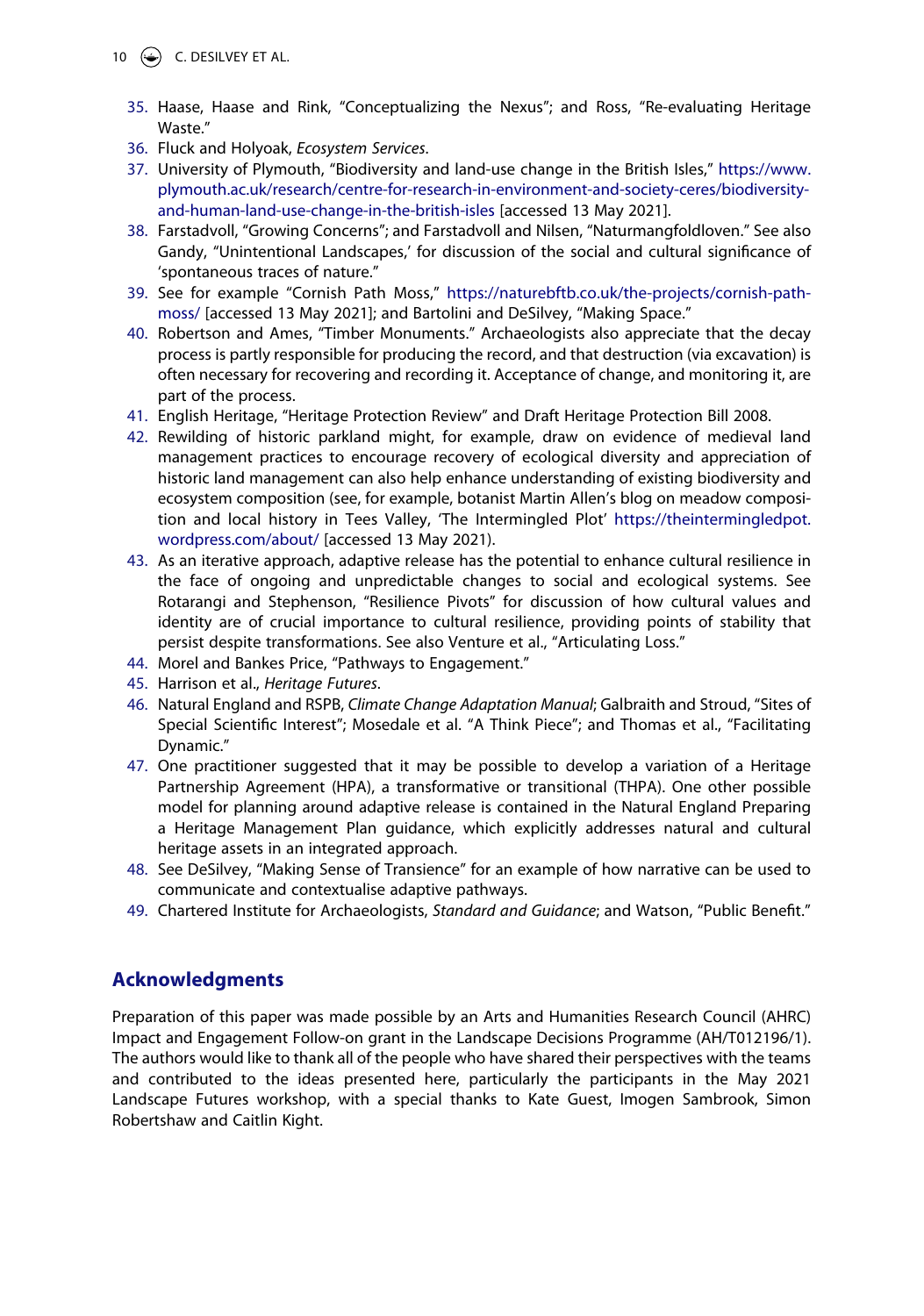- <span id="page-10-0"></span>35. Haase, Haase and Rink, "Conceptualizing the Nexus"; and Ross, "Re-evaluating Heritage Waste."
- <span id="page-10-1"></span>36. Fluck and Holyoak, *Ecosystem Services*.
- <span id="page-10-2"></span>37. University of Plymouth, "Biodiversity and land-use change in the British Isles," [https://www.](https://www.plymouth.ac.uk/research/centre-for-research-in-environment-and-society-ceres/biodiversity-and-human-land-use-change-in-the-british-isles) [plymouth.ac.uk/research/centre-for-research-in-environment-and-society-ceres/biodiversity](https://www.plymouth.ac.uk/research/centre-for-research-in-environment-and-society-ceres/biodiversity-and-human-land-use-change-in-the-british-isles)[and-human-land-use-change-in-the-british-isles](https://www.plymouth.ac.uk/research/centre-for-research-in-environment-and-society-ceres/biodiversity-and-human-land-use-change-in-the-british-isles) [accessed 13 May 2021].
- <span id="page-10-3"></span>38. Farstadvoll, "Growing Concerns"; and Farstadvoll and Nilsen, "Naturmangfoldloven." See also Gandy, "Unintentional Landscapes,' for discussion of the social and cultural significance of 'spontaneous traces of nature."
- <span id="page-10-4"></span>39. See for example "Cornish Path Moss," [https://naturebftb.co.uk/the-projects/cornish-path](https://naturebftb.co.uk/the-projects/cornish-path-moss/)[moss/](https://naturebftb.co.uk/the-projects/cornish-path-moss/) [accessed 13 May 2021]; and Bartolini and DeSilvey, "Making Space."
- <span id="page-10-5"></span>40. Robertson and Ames, "Timber Monuments." Archaeologists also appreciate that the decay process is partly responsible for producing the record, and that destruction (via excavation) is often necessary for recovering and recording it. Acceptance of change, and monitoring it, are part of the process.
- <span id="page-10-6"></span>41. English Heritage, "Heritage Protection Review" and Draft Heritage Protection Bill 2008.
- <span id="page-10-7"></span>42. Rewilding of historic parkland might, for example, draw on evidence of medieval land management practices to encourage recovery of ecological diversity and appreciation of historic land management can also help enhance understanding of existing biodiversity and ecosystem composition (see, for example, botanist Martin Allen's blog on meadow composition and local history in Tees Valley, 'The Intermingled Plot' [https://theintermingledpot.](https://theintermingledpot.wordpress.com/about/) [wordpress.com/about/](https://theintermingledpot.wordpress.com/about/) [accessed 13 May 2021).
- <span id="page-10-8"></span>43. As an iterative approach, adaptive release has the potential to enhance cultural resilience in the face of ongoing and unpredictable changes to social and ecological systems. See Rotarangi and Stephenson, "Resilience Pivots" for discussion of how cultural values and identity are of crucial importance to cultural resilience, providing points of stability that persist despite transformations. See also Venture et al., "Articulating Loss."
- <span id="page-10-9"></span>44. Morel and Bankes Price, "Pathways to Engagement."
- <span id="page-10-10"></span>45. Harrison et al., *Heritage Futures*.
- <span id="page-10-11"></span>46. Natural England and RSPB, *Climate Change Adaptation Manual*; Galbraith and Stroud, "Sites of Special Scientific Interest"; Mosedale et al. "A Think Piece"; and Thomas et al., "Facilitating Dynamic."
- <span id="page-10-12"></span>47. One practitioner suggested that it may be possible to develop a variation of a Heritage Partnership Agreement (HPA), a transformative or transitional (THPA). One other possible model for planning around adaptive release is contained in the Natural England Preparing a Heritage Management Plan guidance, which explicitly addresses natural and cultural heritage assets in an integrated approach.
- <span id="page-10-13"></span>48. See DeSilvey, "Making Sense of Transience" for an example of how narrative can be used to communicate and contextualise adaptive pathways.
- <span id="page-10-14"></span>49. Chartered Institute for Archaeologists, *Standard and Guidance*; and Watson, "Public Benefit."

## **Acknowledgments**

Preparation of this paper was made possible by an Arts and Humanities Research Council (AHRC) Impact and Engagement Follow-on grant in the Landscape Decisions Programme (AH/T012196/1). The authors would like to thank all of the people who have shared their perspectives with the teams and contributed to the ideas presented here, particularly the participants in the May 2021 Landscape Futures workshop, with a special thanks to Kate Guest, Imogen Sambrook, Simon Robertshaw and Caitlin Kight.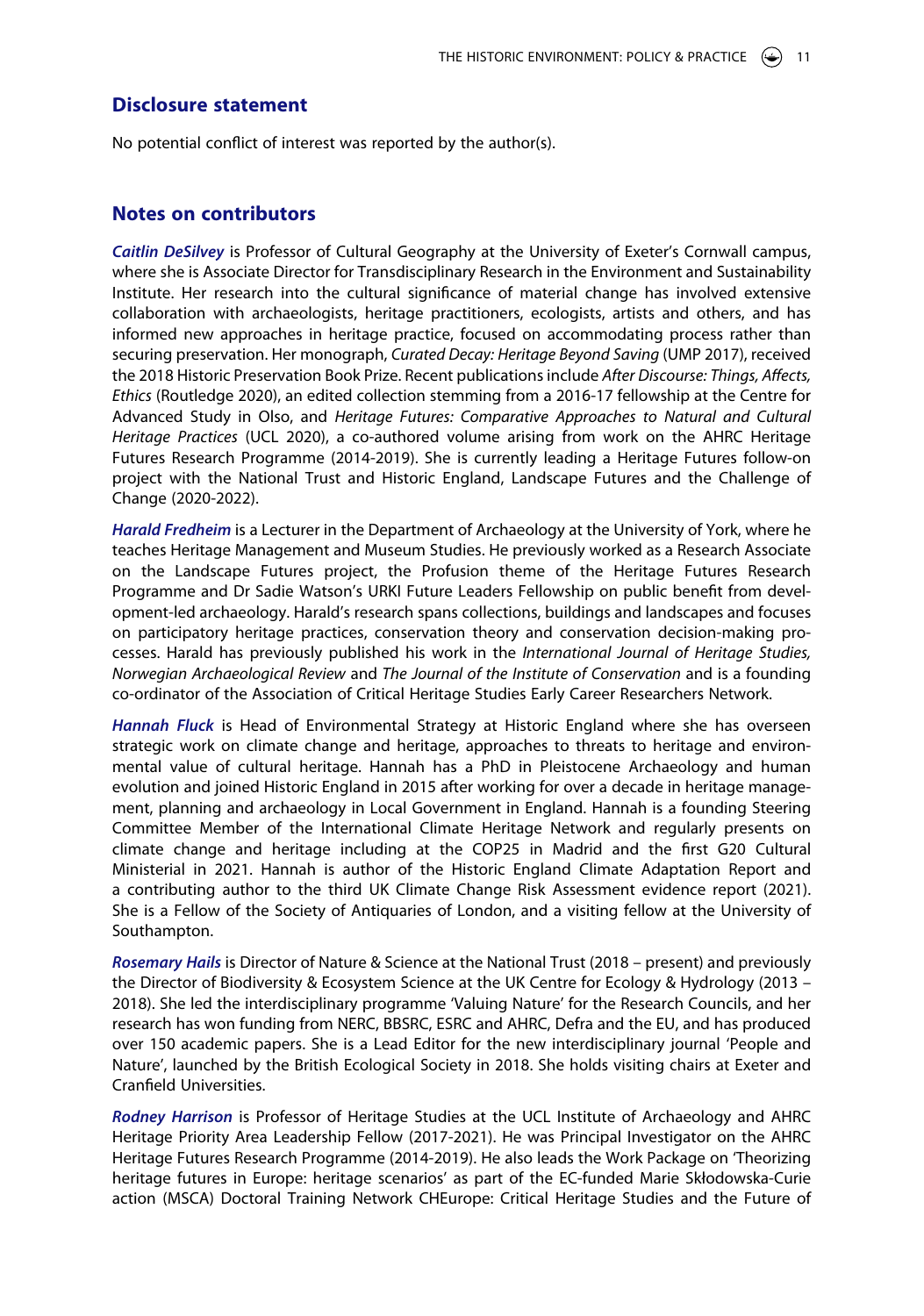#### **Disclosure statement**

No potential conflict of interest was reported by the author(s).

#### **Notes on contributors**

*Caitlin DeSilvey* is Professor of Cultural Geography at the University of Exeter's Cornwall campus, where she is Associate Director for Transdisciplinary Research in the Environment and Sustainability Institute. Her research into the cultural significance of material change has involved extensive collaboration with archaeologists, heritage practitioners, ecologists, artists and others, and has informed new approaches in heritage practice, focused on accommodating process rather than securing preservation. Her monograph, *Curated Decay: Heritage Beyond Saving* (UMP 2017), received the 2018 Historic Preservation Book Prize. Recent publications include *After Discourse: Things, Affects, Ethics* (Routledge 2020), an edited collection stemming from a 2016-17 fellowship at the Centre for Advanced Study in Olso, and *Heritage Futures: Comparative Approaches to Natural and Cultural Heritage Practices* (UCL 2020), a co-authored volume arising from work on the AHRC Heritage Futures Research Programme (2014-2019). She is currently leading a Heritage Futures follow-on project with the National Trust and Historic England, Landscape Futures and the Challenge of Change (2020-2022).

*Harald Fredheim* is a Lecturer in the Department of Archaeology at the University of York, where he teaches Heritage Management and Museum Studies. He previously worked as a Research Associate on the Landscape Futures project, the Profusion theme of the Heritage Futures Research Programme and Dr Sadie Watson's URKI Future Leaders Fellowship on public benefit from development-led archaeology. Harald's research spans collections, buildings and landscapes and focuses on participatory heritage practices, conservation theory and conservation decision-making processes. Harald has previously published his work in the *International Journal of Heritage Studies, Norwegian Archaeological Review* and *The Journal of the Institute of Conservation* and is a founding co-ordinator of the Association of Critical Heritage Studies Early Career Researchers Network.

*Hannah Fluck* is Head of Environmental Strategy at Historic England where she has overseen strategic work on climate change and heritage, approaches to threats to heritage and environmental value of cultural heritage. Hannah has a PhD in Pleistocene Archaeology and human evolution and joined Historic England in 2015 after working for over a decade in heritage management, planning and archaeology in Local Government in England. Hannah is a founding Steering Committee Member of the International Climate Heritage Network and regularly presents on climate change and heritage including at the COP25 in Madrid and the first G20 Cultural Ministerial in 2021. Hannah is author of the Historic England Climate Adaptation Report and a contributing author to the third UK Climate Change Risk Assessment evidence report (2021). She is a Fellow of the Society of Antiquaries of London, and a visiting fellow at the University of Southampton.

*Rosemary Hails* is Director of Nature & Science at the National Trust (2018 – present) and previously the Director of Biodiversity & Ecosystem Science at the UK Centre for Ecology & Hydrology (2013 – 2018). She led the interdisciplinary programme 'Valuing Nature' for the Research Councils, and her research has won funding from NERC, BBSRC, ESRC and AHRC, Defra and the EU, and has produced over 150 academic papers. She is a Lead Editor for the new interdisciplinary journal 'People and Nature', launched by the British Ecological Society in 2018. She holds visiting chairs at Exeter and Cranfield Universities.

*Rodney Harrison* is Professor of Heritage Studies at the UCL Institute of Archaeology and AHRC Heritage Priority Area Leadership Fellow (2017-2021). He was Principal Investigator on the AHRC Heritage Futures Research Programme (2014-2019). He also leads the Work Package on 'Theorizing heritage futures in Europe: heritage scenarios' as part of the EC-funded Marie Skłodowska-Curie action (MSCA) Doctoral Training Network CHEurope: Critical Heritage Studies and the Future of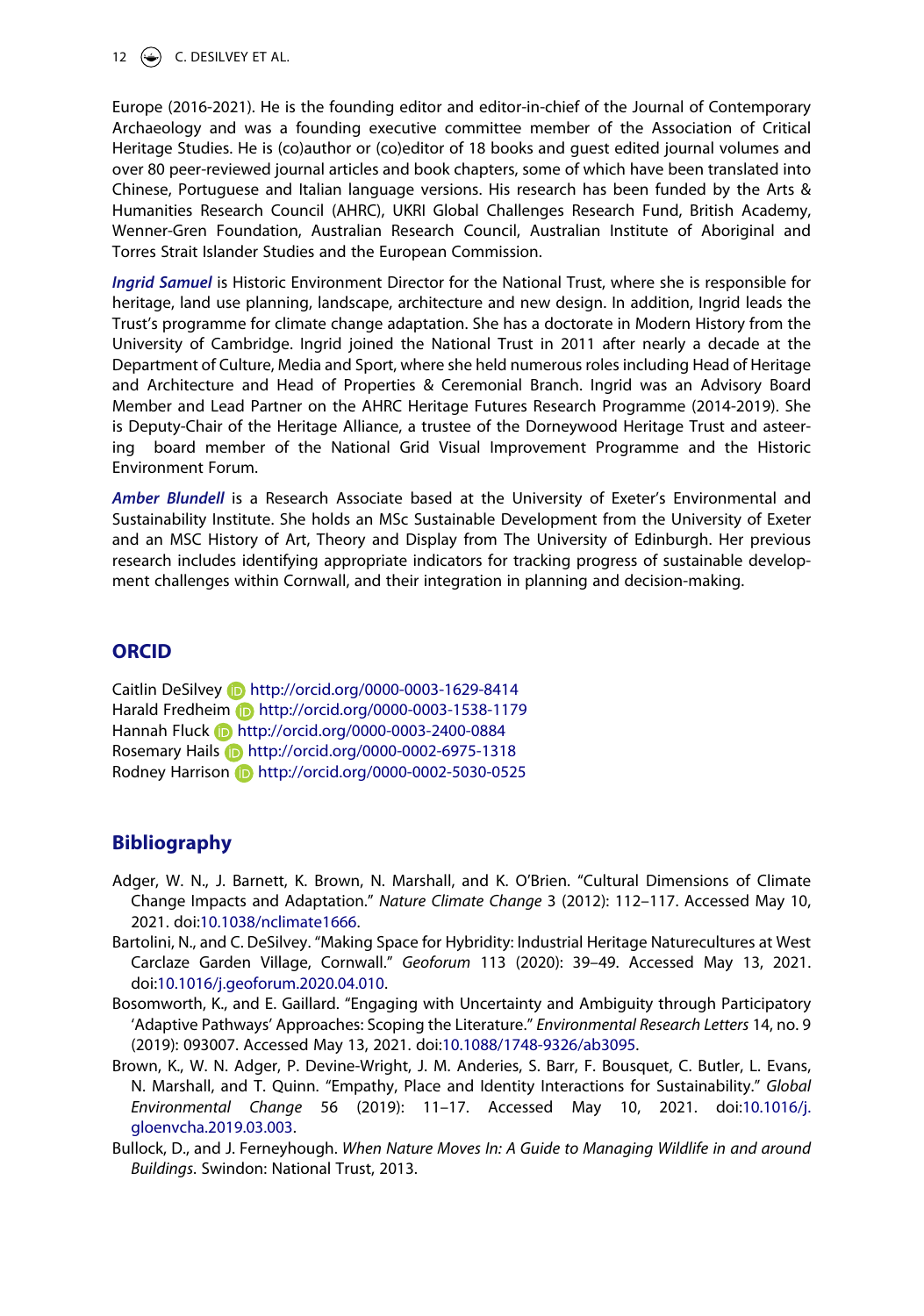12  $\left(\rightarrow\right)$  C. DESILVEY ET AL.

Europe (2016-2021). He is the founding editor and editor-in-chief of the Journal of Contemporary Archaeology and was a founding executive committee member of the Association of Critical Heritage Studies. He is (co)author or (co)editor of 18 books and guest edited journal volumes and over 80 peer-reviewed journal articles and book chapters, some of which have been translated into Chinese, Portuguese and Italian language versions. His research has been funded by the Arts & Humanities Research Council (AHRC), UKRI Global Challenges Research Fund, British Academy, Wenner-Gren Foundation, Australian Research Council, Australian Institute of Aboriginal and Torres Strait Islander Studies and the European Commission.

*Ingrid Samuel* is Historic Environment Director for the National Trust, where she is responsible for heritage, land use planning, landscape, architecture and new design. In addition, Ingrid leads the Trust's programme for climate change adaptation. She has a doctorate in Modern History from the University of Cambridge. Ingrid joined the National Trust in 2011 after nearly a decade at the Department of Culture, Media and Sport, where she held numerous roles including Head of Heritage and Architecture and Head of Properties & Ceremonial Branch. Ingrid was an Advisory Board Member and Lead Partner on the AHRC Heritage Futures Research Programme (2014-2019). She is Deputy-Chair of the Heritage Alliance, a trustee of the Dorneywood Heritage Trust and asteering board member of the National Grid Visual Improvement Programme and the Historic Environment Forum.

Amber Blundell is a Research Associate based at the University of Exeter's Environmental and Sustainability Institute. She holds an MSc Sustainable Development from the University of Exeter and an MSC History of Art, Theory and Display from The University of Edinburgh. Her previous research includes identifying appropriate indicators for tracking progress of sustainable development challenges within Cornwall, and their integration in planning and decision-making.

#### **ORCID**

Caitlin DeSilvey **b** http://orcid.org/0000-0003-1629-8414 Harald Fredheim http://orcid.org/0000-0003-1538-1179 Hannah Fluck **b** http://orcid.org/0000-0003-2400-0884 Rosemary Hails **http://orcid.org/0000-0002-6975-1318** Rodney Harrison **b** http://orcid.org/0000-0002-5030-0525

#### **Bibliography**

- Adger, W. N., J. Barnett, K. Brown, N. Marshall, and K. O'Brien. "Cultural Dimensions of Climate Change Impacts and Adaptation." *Nature Climate Change* 3 (2012): 112–117. Accessed May 10, 2021. doi:[10.1038/nclimate1666.](https://doi.org/10.1038/nclimate1666)
- Bartolini, N., and C. DeSilvey. "Making Space for Hybridity: Industrial Heritage Naturecultures at West Carclaze Garden Village, Cornwall." *Geoforum* 113 (2020): 39–49. Accessed May 13, 2021. doi:[10.1016/j.geoforum.2020.04.010](https://doi.org/10.1016/j.geoforum.2020.04.010).
- Bosomworth, K., and E. Gaillard. "Engaging with Uncertainty and Ambiguity through Participatory 'Adaptive Pathways' Approaches: Scoping the Literature." *Environmental Research Letters* 14, no. 9 (2019): 093007. Accessed May 13, 2021. doi:[10.1088/1748-9326/ab3095.](https://doi.org/10.1088/1748-9326/ab3095)
- Brown, K., W. N. Adger, P. Devine-Wright, J. M. Anderies, S. Barr, F. Bousquet, C. Butler, L. Evans, N. Marshall, and T. Quinn. "Empathy, Place and Identity Interactions for Sustainability." *Global Environmental Change* 56 (2019): 11–17. Accessed May 10, 2021. doi:[10.1016/j.](https://doi.org/10.1016/j.gloenvcha.2019.03.003) [gloenvcha.2019.03.003](https://doi.org/10.1016/j.gloenvcha.2019.03.003).
- Bullock, D., and J. Ferneyhough. *When Nature Moves In: A Guide to Managing Wildlife in and around Buildings*. Swindon: National Trust, 2013.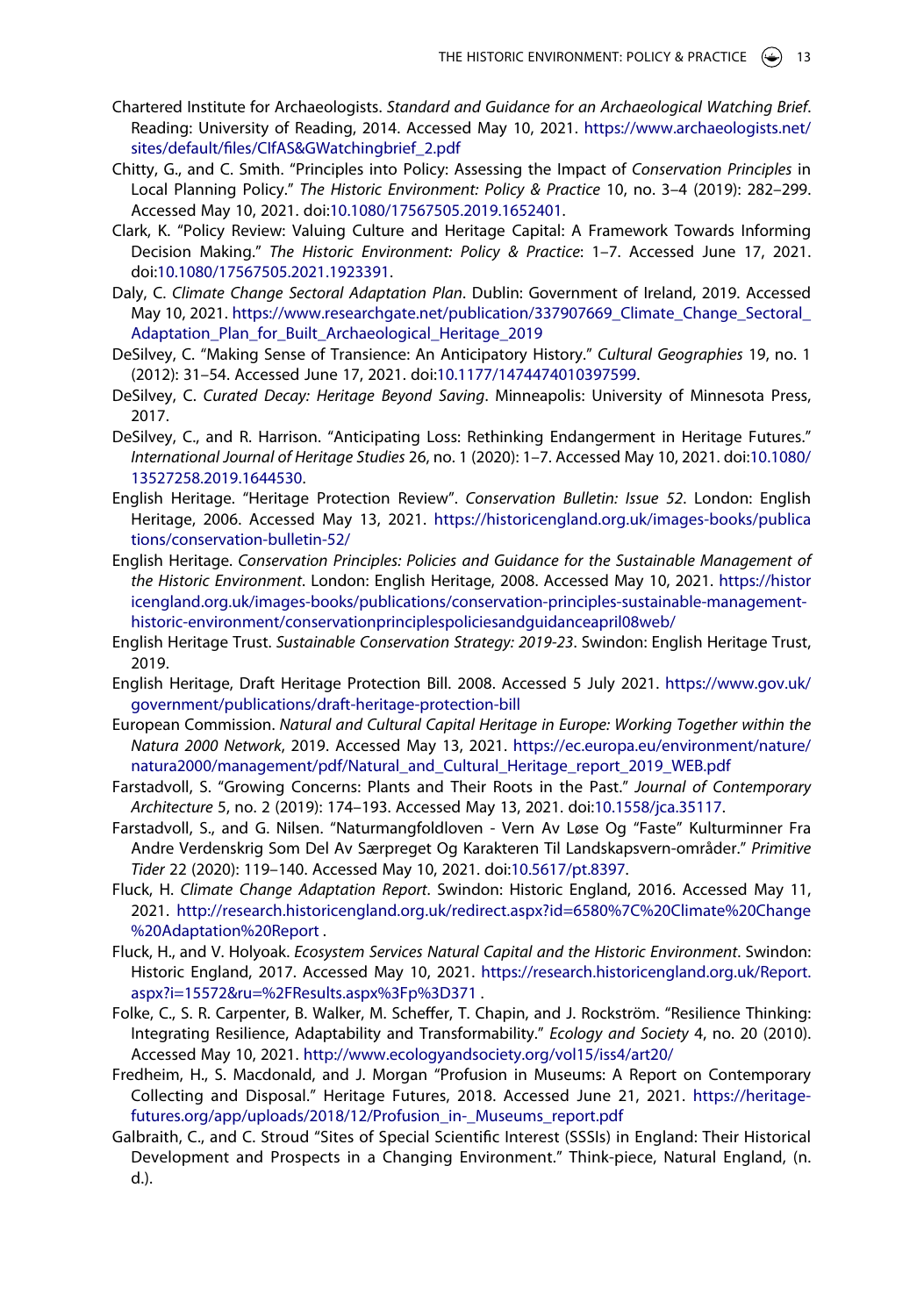- Chartered Institute for Archaeologists. *Standard and Guidance for an Archaeological Watching Brief*. Reading: University of Reading, 2014. Accessed May 10, 2021. [https://www.archaeologists.net/](https://www.archaeologists.net/sites/default/files/CIfAS%26GWatchingbrief_2.pdf) [sites/default/files/CIfAS&GWatchingbrief\\_2.pdf](https://www.archaeologists.net/sites/default/files/CIfAS%26GWatchingbrief_2.pdf)
- Chitty, G., and C. Smith. "Principles into Policy: Assessing the Impact of *Conservation Principles* in Local Planning Policy." *The Historic Environment: Policy & Practice* 10, no. 3–4 (2019): 282–299. Accessed May 10, 2021. doi:[10.1080/17567505.2019.1652401](https://doi.org/10.1080/17567505.2019.1652401).
- Clark, K. "Policy Review: Valuing Culture and Heritage Capital: A Framework Towards Informing Decision Making." *The Historic Environment: Policy & Practice*: 1–7. Accessed June 17, 2021. doi:[10.1080/17567505.2021.1923391](https://doi.org/10.1080/17567505.2021.1923391).
- Daly, C. *Climate Change Sectoral Adaptation Plan*. Dublin: Government of Ireland, 2019. Accessed May 10, 2021. [https://www.researchgate.net/publication/337907669\\_Climate\\_Change\\_Sectoral\\_](https://www.researchgate.net/publication/337907669_Climate_Change_Sectoral_Adaptation_Plan_for_Built_Archaeological_Heritage_2019) [Adaptation\\_Plan\\_for\\_Built\\_Archaeological\\_Heritage\\_2019](https://www.researchgate.net/publication/337907669_Climate_Change_Sectoral_Adaptation_Plan_for_Built_Archaeological_Heritage_2019)
- DeSilvey, C. "Making Sense of Transience: An Anticipatory History." *Cultural Geographies* 19, no. 1 (2012): 31–54. Accessed June 17, 2021. doi:[10.1177/1474474010397599.](https://doi.org/10.1177/1474474010397599)
- DeSilvey, C. *Curated Decay: Heritage Beyond Saving*. Minneapolis: University of Minnesota Press, 2017.
- DeSilvey, C., and R. Harrison. "Anticipating Loss: Rethinking Endangerment in Heritage Futures." *International Journal of Heritage Studies* 26, no. 1 (2020): 1–7. Accessed May 10, 2021. doi:[10.1080/](https://doi.org/10.1080/13527258.2019.1644530) [13527258.2019.1644530](https://doi.org/10.1080/13527258.2019.1644530).
- English Heritage. "Heritage Protection Review". *Conservation Bulletin: Issue 52*. London: English Heritage, 2006. Accessed May 13, 2021. [https://historicengland.org.uk/images-books/publica](https://historicengland.org.uk/images-books/publications/conservation-bulletin-52/) [tions/conservation-bulletin-52/](https://historicengland.org.uk/images-books/publications/conservation-bulletin-52/)
- English Heritage. *Conservation Principles: Policies and Guidance for the Sustainable Management of the Historic Environment*. London: English Heritage, 2008. Accessed May 10, 2021. [https://histor](https://historicengland.org.uk/images-books/publications/conservation-principles-sustainable-management-historic-environment/conservationprinciplespoliciesandguidanceapril08web/) [icengland.org.uk/images-books/publications/conservation-principles-sustainable-management](https://historicengland.org.uk/images-books/publications/conservation-principles-sustainable-management-historic-environment/conservationprinciplespoliciesandguidanceapril08web/)[historic-environment/conservationprinciplespoliciesandguidanceapril08web/](https://historicengland.org.uk/images-books/publications/conservation-principles-sustainable-management-historic-environment/conservationprinciplespoliciesandguidanceapril08web/)
- English Heritage Trust. *Sustainable Conservation Strategy: 2019-23*. Swindon: English Heritage Trust, 2019.
- English Heritage, Draft Heritage Protection Bill. 2008. Accessed 5 July 2021. [https://www.gov.uk/](https://www.gov.uk/government/publications/draft-heritage-protection-bill) [government/publications/draft-heritage-protection-bill](https://www.gov.uk/government/publications/draft-heritage-protection-bill)
- European Commission. *Natural and Cultural Capital Heritage in Europe: Working Together within the Natura 2000 Network*, 2019. Accessed May 13, 2021. [https://ec.europa.eu/environment/nature/](https://ec.europa.eu/environment/nature/natura2000/management/pdf/Natural_and_Cultural_Heritage_report_2019_WEB.pdf) [natura2000/management/pdf/Natural\\_and\\_Cultural\\_Heritage\\_report\\_2019\\_WEB.pdf](https://ec.europa.eu/environment/nature/natura2000/management/pdf/Natural_and_Cultural_Heritage_report_2019_WEB.pdf)
- Farstadvoll, S. "Growing Concerns: Plants and Their Roots in the Past." *Journal of Contemporary Architecture* 5, no. 2 (2019): 174–193. Accessed May 13, 2021. doi:[10.1558/jca.35117.](https://doi.org/10.1558/jca.35117)
- Farstadvoll, S., and G. Nilsen. "Naturmangfoldloven Vern Av Løse Og "Faste" Kulturminner Fra Andre Verdenskrig Som Del Av Særpreget Og Karakteren Til Landskapsvern-områder." *Primitive Tider* 22 (2020): 119–140. Accessed May 10, 2021. doi:[10.5617/pt.8397.](https://doi.org/10.5617/pt.8397)
- Fluck, H. *Climate Change Adaptation Report*. Swindon: Historic England, 2016. Accessed May 11, 2021. [http://research.historicengland.org.uk/redirect.aspx?id=6580%7C%20Climate%20Change](http://research.historicengland.org.uk/redirect.aspx?id=6580%7C%20Climate%20Change%20Adaptation%20Report) [%20Adaptation%20Report](http://research.historicengland.org.uk/redirect.aspx?id=6580%7C%20Climate%20Change%20Adaptation%20Report) .
- Fluck, H., and V. Holyoak. *Ecosystem Services Natural Capital and the Historic Environment*. Swindon: Historic England, 2017. Accessed May 10, 2021. [https://research.historicengland.org.uk/Report.](https://research.historicengland.org.uk/Report.aspx?i=15572%26ru=%2FResults.aspx%3Fp%3D371) [aspx?i=15572&ru=%2FResults.aspx%3Fp%3D371](https://research.historicengland.org.uk/Report.aspx?i=15572%26ru=%2FResults.aspx%3Fp%3D371) .
- Folke, C., S. R. Carpenter, B. Walker, M. Scheffer, T. Chapin, and J. Rockström. "Resilience Thinking: Integrating Resilience, Adaptability and Transformability." *Ecology and Society* 4, no. 20 (2010). Accessed May 10, 2021. <http://www.ecologyandsociety.org/vol15/iss4/art20/>
- Fredheim, H., S. Macdonald, and J. Morgan "Profusion in Museums: A Report on Contemporary Collecting and Disposal." Heritage Futures, 2018. Accessed June 21, 2021. [https://heritage](https://heritage-futures.org/app/uploads/2018/12/Profusion_in-_Museums_report.pdf)[futures.org/app/uploads/2018/12/Profusion\\_in-\\_Museums\\_report.pdf](https://heritage-futures.org/app/uploads/2018/12/Profusion_in-_Museums_report.pdf)
- Galbraith, C., and C. Stroud "Sites of Special Scientific Interest (SSSIs) in England: Their Historical Development and Prospects in a Changing Environment." Think-piece, Natural England, (n. d.).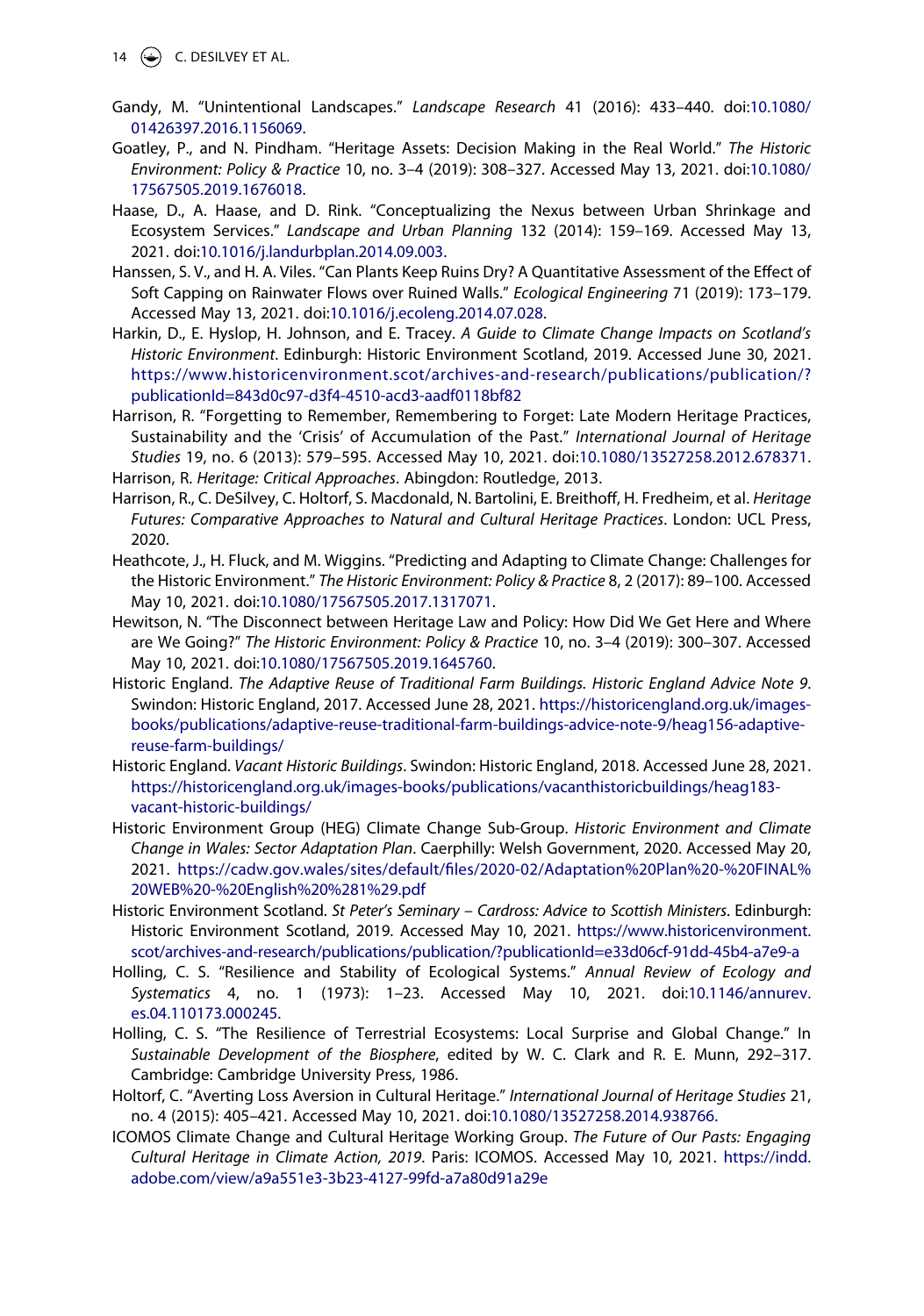- 14  $\bigcirc$  C. DESILVEY ET AL.
- Gandy, M. "Unintentional Landscapes." *Landscape Research* 41 (2016): 433–440. doi:[10.1080/](https://doi.org/10.1080/01426397.2016.1156069) [01426397.2016.1156069](https://doi.org/10.1080/01426397.2016.1156069).
- Goatley, P., and N. Pindham. "Heritage Assets: Decision Making in the Real World." *The Historic Environment: Policy & Practice* 10, no. 3–4 (2019): 308–327. Accessed May 13, 2021. doi:[10.1080/](https://doi.org/10.1080/17567505.2019.1676018) [17567505.2019.1676018](https://doi.org/10.1080/17567505.2019.1676018).
- Haase, D., A. Haase, and D. Rink. "Conceptualizing the Nexus between Urban Shrinkage and Ecosystem Services." *Landscape and Urban Planning* 132 (2014): 159–169. Accessed May 13, 2021. doi:[10.1016/j.landurbplan.2014.09.003.](https://doi.org/10.1016/j.landurbplan.2014.09.003)
- Hanssen, S. V., and H. A. Viles. "Can Plants Keep Ruins Dry? A Quantitative Assessment of the Effect of Soft Capping on Rainwater Flows over Ruined Walls." *Ecological Engineering* 71 (2019): 173–179. Accessed May 13, 2021. doi:[10.1016/j.ecoleng.2014.07.028](https://doi.org/10.1016/j.ecoleng.2014.07.028).
- Harkin, D., E. Hyslop, H. Johnson, and E. Tracey. *A Guide to Climate Change Impacts on Scotland's Historic Environment*. Edinburgh: Historic Environment Scotland, 2019. Accessed June 30, 2021. [https://www.historicenvironment.scot/archives-and-research/publications/publication/?](https://www.historicenvironment.scot/archives-and-research/publications/publication/?publicationId=843d0c97-d3f4-4510-acd3-aadf0118bf82)  [publicationId=843d0c97-d3f4-4510-acd3-aadf0118bf82](https://www.historicenvironment.scot/archives-and-research/publications/publication/?publicationId=843d0c97-d3f4-4510-acd3-aadf0118bf82)
- Harrison, R. "Forgetting to Remember, Remembering to Forget: Late Modern Heritage Practices, Sustainability and the 'Crisis' of Accumulation of the Past." *International Journal of Heritage Studies* 19, no. 6 (2013): 579–595. Accessed May 10, 2021. doi:[10.1080/13527258.2012.678371](https://doi.org/10.1080/13527258.2012.678371). Harrison, R. *Heritage: Critical Approaches*. Abingdon: Routledge, 2013.
- Harrison, R., C. DeSilvey, C. Holtorf, S. Macdonald, N. Bartolini, E. Breithoff, H. Fredheim, et al. *Heritage*
- *Futures: Comparative Approaches to Natural and Cultural Heritage Practices*. London: UCL Press, 2020.
- Heathcote, J., H. Fluck, and M. Wiggins. "Predicting and Adapting to Climate Change: Challenges for the Historic Environment." *The Historic Environment: Policy & Practice* 8, 2 (2017): 89–100. Accessed May 10, 2021. doi:[10.1080/17567505.2017.1317071.](https://doi.org/10.1080/17567505.2017.1317071)
- Hewitson, N. "The Disconnect between Heritage Law and Policy: How Did We Get Here and Where are We Going?" *The Historic Environment: Policy & Practice* 10, no. 3–4 (2019): 300–307. Accessed May 10, 2021. doi:[10.1080/17567505.2019.1645760.](https://doi.org/10.1080/17567505.2019.1645760)
- Historic England. *The Adaptive Reuse of Traditional Farm Buildings. Historic England Advice Note 9*. Swindon: Historic England, 2017. Accessed June 28, 2021. [https://historicengland.org.uk/images](https://historicengland.org.uk/images-books/publications/adaptive-reuse-traditional-farm-buildings-advice-note-9/heag156-adaptive-reuse-farm-buildings/)[books/publications/adaptive-reuse-traditional-farm-buildings-advice-note-9/heag156-adaptive](https://historicengland.org.uk/images-books/publications/adaptive-reuse-traditional-farm-buildings-advice-note-9/heag156-adaptive-reuse-farm-buildings/)[reuse-farm-buildings/](https://historicengland.org.uk/images-books/publications/adaptive-reuse-traditional-farm-buildings-advice-note-9/heag156-adaptive-reuse-farm-buildings/)
- Historic England. *Vacant Historic Buildings*. Swindon: Historic England, 2018. Accessed June 28, 2021. [https://historicengland.org.uk/images-books/publications/vacanthistoricbuildings/heag183](https://historicengland.org.uk/images-books/publications/vacanthistoricbuildings/heag183-vacant-historic-buildings/)  [vacant-historic-buildings/](https://historicengland.org.uk/images-books/publications/vacanthistoricbuildings/heag183-vacant-historic-buildings/)
- Historic Environment Group (HEG) Climate Change Sub-Group. *Historic Environment and Climate Change in Wales: Sector Adaptation Plan*. Caerphilly: Welsh Government, 2020. Accessed May 20, 2021. [https://cadw.gov.wales/sites/default/files/2020-02/Adaptation%20Plan%20-%20FINAL%](https://cadw.gov.wales/sites/default/files/2020-02/Adaptation%20Plan%20-%20FINAL%20WEB%20-%20English%20%281%29.pdf) [20WEB%20-%20English%20%281%29.pdf](https://cadw.gov.wales/sites/default/files/2020-02/Adaptation%20Plan%20-%20FINAL%20WEB%20-%20English%20%281%29.pdf)
- Historic Environment Scotland. *St Peter's Seminary Cardross: Advice to Scottish Ministers*. Edinburgh: Historic Environment Scotland, 2019. Accessed May 10, 2021. [https://www.historicenvironment.](https://www.historicenvironment.scot/archives-and-research/publications/publication/?publicationId=e33d06cf-91dd-45b4-a7e9-a) [scot/archives-and-research/publications/publication/?publicationId=e33d06cf-91dd-45b4-a7e9-a](https://www.historicenvironment.scot/archives-and-research/publications/publication/?publicationId=e33d06cf-91dd-45b4-a7e9-a)
- Holling, C. S. "Resilience and Stability of Ecological Systems." *Annual Review of Ecology and Systematics* 4, no. 1 (1973): 1–23. Accessed May 10, 2021. doi:[10.1146/annurev.](https://doi.org/10.1146/annurev.es.04.110173.000245) [es.04.110173.000245](https://doi.org/10.1146/annurev.es.04.110173.000245).
- Holling, C. S. "The Resilience of Terrestrial Ecosystems: Local Surprise and Global Change." In *Sustainable Development of the Biosphere*, edited by W. C. Clark and R. E. Munn, 292–317. Cambridge: Cambridge University Press, 1986.
- Holtorf, C. "Averting Loss Aversion in Cultural Heritage." *International Journal of Heritage Studies* 21, no. 4 (2015): 405–421. Accessed May 10, 2021. doi:[10.1080/13527258.2014.938766.](https://doi.org/10.1080/13527258.2014.938766)
- ICOMOS Climate Change and Cultural Heritage Working Group. *The Future of Our Pasts: Engaging Cultural Heritage in Climate Action, 2019*. Paris: ICOMOS. Accessed May 10, 2021. [https://indd.](https://indd.adobe.com/view/a9a551e3-3b23-4127-99fd-a7a80d91a29e) [adobe.com/view/a9a551e3-3b23-4127-99fd-a7a80d91a29e](https://indd.adobe.com/view/a9a551e3-3b23-4127-99fd-a7a80d91a29e)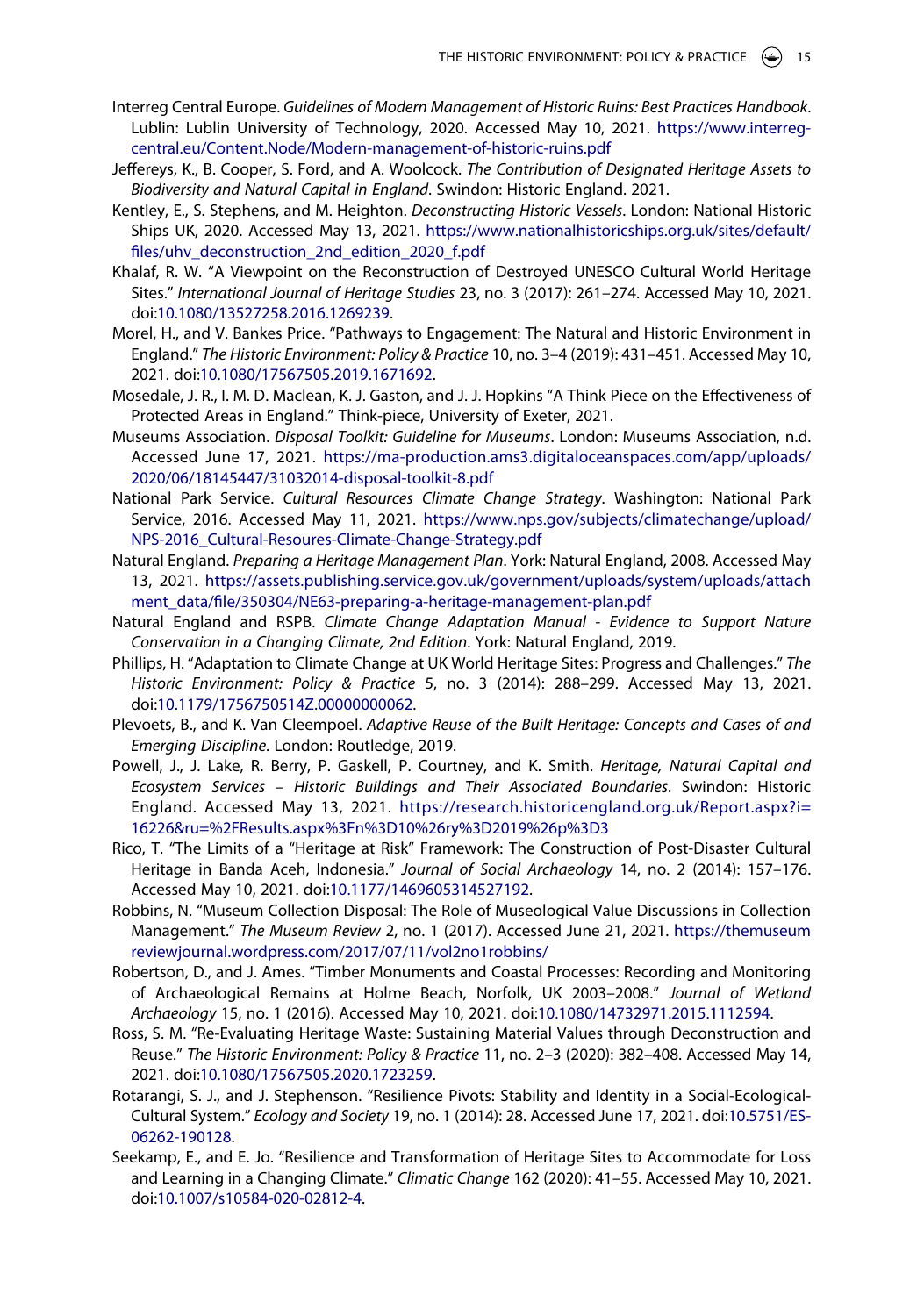- Interreg Central Europe. *Guidelines of Modern Management of Historic Ruins: Best Practices Handbook*. Lublin: Lublin University of Technology, 2020. Accessed May 10, 2021. [https://www.interreg](https://www.interreg-central.eu/Content.Node/Modern-management-of-historic-ruins.pdf)[central.eu/Content.Node/Modern-management-of-historic-ruins.pdf](https://www.interreg-central.eu/Content.Node/Modern-management-of-historic-ruins.pdf)
- Jeffereys, K., B. Cooper, S. Ford, and A. Woolcock. *The Contribution of Designated Heritage Assets to Biodiversity and Natural Capital in England*. Swindon: Historic England. 2021.
- Kentley, E., S. Stephens, and M. Heighton. *Deconstructing Historic Vessels*. London: National Historic Ships UK, 2020. Accessed May 13, 2021. [https://www.nationalhistoricships.org.uk/sites/default/](https://www.nationalhistoricships.org.uk/sites/default/files/uhv_deconstruction_2nd_edition_2020_f.pdf) [files/uhv\\_deconstruction\\_2nd\\_edition\\_2020\\_f.pdf](https://www.nationalhistoricships.org.uk/sites/default/files/uhv_deconstruction_2nd_edition_2020_f.pdf)
- Khalaf, R. W. "A Viewpoint on the Reconstruction of Destroyed UNESCO Cultural World Heritage Sites." *International Journal of Heritage Studies* 23, no. 3 (2017): 261–274. Accessed May 10, 2021. doi:[10.1080/13527258.2016.1269239](https://doi.org/10.1080/13527258.2016.1269239).
- Morel, H., and V. Bankes Price. "Pathways to Engagement: The Natural and Historic Environment in England." *The Historic Environment: Policy & Practice* 10, no. 3–4 (2019): 431–451. Accessed May 10, 2021. doi:[10.1080/17567505.2019.1671692.](https://doi.org/10.1080/17567505.2019.1671692)
- Mosedale, J. R., I. M. D. Maclean, K. J. Gaston, and J. J. Hopkins "A Think Piece on the Effectiveness of Protected Areas in England." Think-piece, University of Exeter, 2021.
- Museums Association. *Disposal Toolkit: Guideline for Museums*. London: Museums Association, n.d. Accessed June 17, 2021. [https://ma-production.ams3.digitaloceanspaces.com/app/uploads/](https://ma-production.ams3.digitaloceanspaces.com/app/uploads/2020/06/18145447/31032014-disposal-toolkit-8.pdf) [2020/06/18145447/31032014-disposal-toolkit-8.pdf](https://ma-production.ams3.digitaloceanspaces.com/app/uploads/2020/06/18145447/31032014-disposal-toolkit-8.pdf)
- National Park Service. *Cultural Resources Climate Change Strategy*. Washington: National Park Service, 2016. Accessed May 11, 2021. [https://www.nps.gov/subjects/climatechange/upload/](https://www.nps.gov/subjects/climatechange/upload/NPS-2016_Cultural-Resoures-Climate-Change-Strategy.pdf) [NPS-2016\\_Cultural-Resoures-Climate-Change-Strategy.pdf](https://www.nps.gov/subjects/climatechange/upload/NPS-2016_Cultural-Resoures-Climate-Change-Strategy.pdf)
- Natural England. *Preparing a Heritage Management Plan*. York: Natural England, 2008. Accessed May 13, 2021. [https://assets.publishing.service.gov.uk/government/uploads/system/uploads/attach](https://assets.publishing.service.gov.uk/government/uploads/system/uploads/attachment_data/file/350304/NE63-preparing-a-heritage-management-plan.pdf) [ment\\_data/file/350304/NE63-preparing-a-heritage-management-plan.pdf](https://assets.publishing.service.gov.uk/government/uploads/system/uploads/attachment_data/file/350304/NE63-preparing-a-heritage-management-plan.pdf)
- Natural England and RSPB. *Climate Change Adaptation Manual Evidence to Support Nature Conservation in a Changing Climate, 2nd Edition*. York: Natural England, 2019.
- Phillips, H. "Adaptation to Climate Change at UK World Heritage Sites: Progress and Challenges." *The Historic Environment: Policy & Practice* 5, no. 3 (2014): 288–299. Accessed May 13, 2021. doi:[10.1179/1756750514Z.00000000062](https://doi.org/10.1179/1756750514Z.00000000062).
- Plevoets, B., and K. Van Cleempoel. *Adaptive Reuse of the Built Heritage: Concepts and Cases of and Emerging Discipline*. London: Routledge, 2019.
- Powell, J., J. Lake, R. Berry, P. Gaskell, P. Courtney, and K. Smith. *Heritage, Natural Capital and Ecosystem Services – Historic Buildings and Their Associated Boundaries*. Swindon: Historic England. Accessed May 13, 2021. [https://research.historicengland.org.uk/Report.aspx?i=](https://research.historicengland.org.uk/Report.aspx?i=16226%26ru=%2FResults.aspx%3Fn%3D10%26ry%3D2019%26p%3D3) [16226&ru=%2FResults.aspx%3Fn%3D10%26ry%3D2019%26p%3D3](https://research.historicengland.org.uk/Report.aspx?i=16226%26ru=%2FResults.aspx%3Fn%3D10%26ry%3D2019%26p%3D3)
- Rico, T. "The Limits of a "Heritage at Risk" Framework: The Construction of Post-Disaster Cultural Heritage in Banda Aceh, Indonesia." *Journal of Social Archaeology* 14, no. 2 (2014): 157–176. Accessed May 10, 2021. doi:[10.1177/1469605314527192.](https://doi.org/10.1177/1469605314527192)
- Robbins, N. "Museum Collection Disposal: The Role of Museological Value Discussions in Collection Management." *The Museum Review* 2, no. 1 (2017). Accessed June 21, 2021. [https://themuseum](https://themuseumreviewjournal.wordpress.com/2017/07/11/vol2no1robbins/) [reviewjournal.wordpress.com/2017/07/11/vol2no1robbins/](https://themuseumreviewjournal.wordpress.com/2017/07/11/vol2no1robbins/)
- Robertson, D., and J. Ames. "Timber Monuments and Coastal Processes: Recording and Monitoring of Archaeological Remains at Holme Beach, Norfolk, UK 2003–2008." *Journal of Wetland Archaeology* 15, no. 1 (2016). Accessed May 10, 2021. doi:[10.1080/14732971.2015.1112594](https://doi.org/10.1080/14732971.2015.1112594).
- Ross, S. M. "Re-Evaluating Heritage Waste: Sustaining Material Values through Deconstruction and Reuse." *The Historic Environment: Policy & Practice* 11, no. 2–3 (2020): 382–408. Accessed May 14, 2021. doi:[10.1080/17567505.2020.1723259.](https://doi.org/10.1080/17567505.2020.1723259)
- Rotarangi, S. J., and J. Stephenson. "Resilience Pivots: Stability and Identity in a Social-Ecological-Cultural System." *Ecology and Society* 19, no. 1 (2014): 28. Accessed June 17, 2021. doi:[10.5751/ES-](https://doi.org/10.5751/ES-06262-190128)[06262-190128.](https://doi.org/10.5751/ES-06262-190128)
- Seekamp, E., and E. Jo. "Resilience and Transformation of Heritage Sites to Accommodate for Loss and Learning in a Changing Climate." *Climatic Change* 162 (2020): 41–55. Accessed May 10, 2021. doi:[10.1007/s10584-020-02812-4](https://doi.org/10.1007/s10584-020-02812-4).